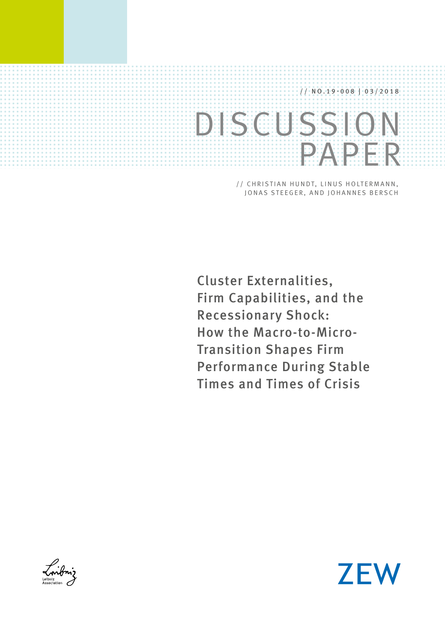

// CHRISTIAN HUNDT, LINUS HOLTERMANN, JONAS STEEGER, AND JOHANNES BERSCH

Cluster Externalities, Firm Capabilities, and the Recessionary Shock: How the Macro-to-Micro-Transition Shapes Firm Performance During Stable Times and Times of Crisis



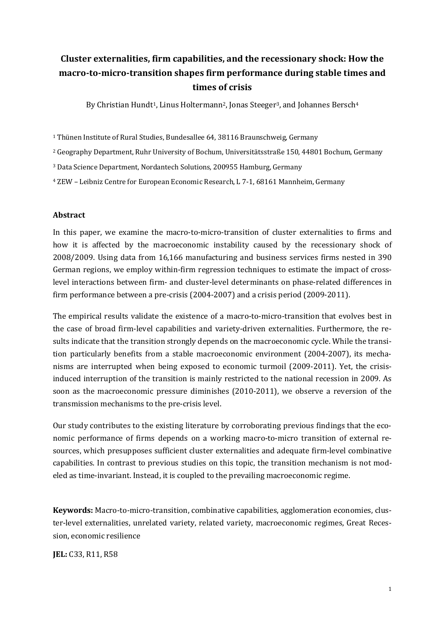# **Cluster externalities, firm capabilities, and the recessionary shock: How the macro-to-micro-transition shapes firm performance during stable times and times of crisis**

By Christian Hundt<sup>1</sup>, Linus Holtermann<sup>2</sup>, Jonas Steeger<sup>3</sup>, and Johannes Bersch<sup>4</sup>

<sup>1</sup> Thünen Institute of Rural Studies, Bundesallee 64, 38116 Braunschweig, Germany

- <sup>2</sup> Geography Department, Ruhr University of Bochum, Universitätsstraße 150, 44801 Bochum, Germany
- <sup>3</sup> Data Science Department, Nordantech Solutions, 200955 Hamburg, Germany
- <sup>4</sup> ZEW Leibniz Centre for European Economic Research, L 7-1, 68161 Mannheim, Germany

#### **Abstract**

In this paper, we examine the macro-to-micro-transition of cluster externalities to firms and how it is affected by the macroeconomic instability caused by the recessionary shock of 2008/2009. Using data from 16,166 manufacturing and business services firms nested in 390 German regions, we employ within-firm regression techniques to estimate the impact of crosslevel interactions between firm- and cluster-level determinants on phase-related differences in firm performance between a pre-crisis (2004-2007) and a crisis period (2009-2011).

The empirical results validate the existence of a macro-to-micro-transition that evolves best in the case of broad firm-level capabilities and variety-driven externalities. Furthermore, the results indicate that the transition strongly depends on the macroeconomic cycle. While the transition particularly benefits from a stable macroeconomic environment (2004-2007), its mechanisms are interrupted when being exposed to economic turmoil (2009-2011). Yet, the crisisinduced interruption of the transition is mainly restricted to the national recession in 2009. As soon as the macroeconomic pressure diminishes (2010-2011), we observe a reversion of the transmission mechanisms to the pre-crisis level.

Our study contributes to the existing literature by corroborating previous findings that the economic performance of firms depends on a working macro-to-micro transition of external resources, which presupposes sufficient cluster externalities and adequate firm-level combinative capabilities. In contrast to previous studies on this topic, the transition mechanism is not modeled as time-invariant. Instead, it is coupled to the prevailing macroeconomic regime.

**Keywords:** Macro-to-micro-transition, combinative capabilities, agglomeration economies, cluster-level externalities, unrelated variety, related variety, macroeconomic regimes, Great Recession, economic resilience

**JEL:** C33, R11, R58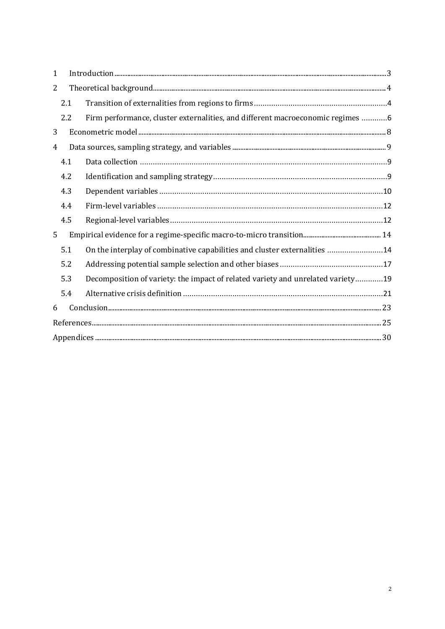| $\mathbf{1}$   |     | $\label{prop:1} In traditional \emph{untroduction} \tiny 2.3$                   |  |
|----------------|-----|---------------------------------------------------------------------------------|--|
| $\overline{2}$ |     |                                                                                 |  |
|                | 2.1 |                                                                                 |  |
|                | 2.2 | Firm performance, cluster externalities, and different macroeconomic regimes  6 |  |
| 3              |     |                                                                                 |  |
| 4              |     |                                                                                 |  |
|                | 4.1 |                                                                                 |  |
|                | 4.2 |                                                                                 |  |
|                | 4.3 |                                                                                 |  |
|                | 4.4 |                                                                                 |  |
|                | 4.5 |                                                                                 |  |
| 5              |     |                                                                                 |  |
|                | 5.1 | On the interplay of combinative capabilities and cluster externalities 14       |  |
|                | 5.2 |                                                                                 |  |
|                | 5.3 | Decomposition of variety: the impact of related variety and unrelated variety19 |  |
|                | 5.4 |                                                                                 |  |
| 6              |     |                                                                                 |  |
|                |     |                                                                                 |  |
|                |     |                                                                                 |  |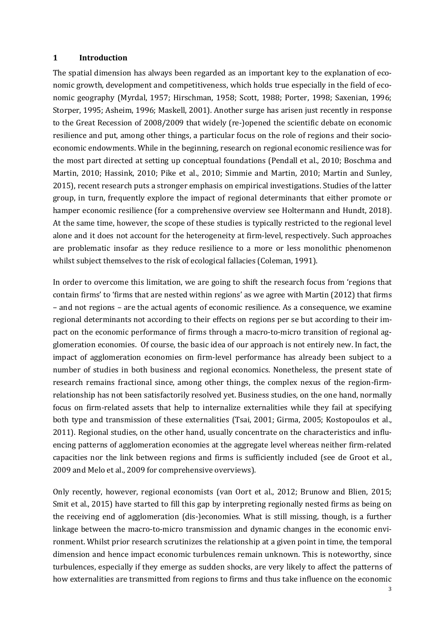#### <span id="page-3-0"></span>**1 Introduction**

The spatial dimension has always been regarded as an important key to the explanation of economic growth, development and competitiveness, which holds true especially in the field of economic geography (Myrdal, 1957; Hirschman, 1958; Scott, 1988; Porter, 1998; Saxenian, 1996; Storper, 1995; Asheim, 1996; Maskell, 2001). Another surge has arisen just recently in response to the Great Recession of 2008/2009 that widely (re-)opened the scientific debate on economic resilience and put, among other things, a particular focus on the role of regions and their socioeconomic endowments. While in the beginning, research on regional economic resilience was for the most part directed at setting up conceptual foundations (Pendall et al., 2010; Boschma and Martin, 2010; Hassink, 2010; Pike et al., 2010; Simmie and Martin, 2010; Martin and Sunley, 2015), recent research puts a stronger emphasis on empirical investigations. Studies of the latter group, in turn, frequently explore the impact of regional determinants that either promote or hamper economic resilience (for a comprehensive overview see Holtermann and Hundt, 2018). At the same time, however, the scope of these studies is typically restricted to the regional level alone and it does not account for the heterogeneity at firm-level, respectively. Such approaches are problematic insofar as they reduce resilience to a more or less monolithic phenomenon whilst subject themselves to the risk of ecological fallacies (Coleman, 1991).

In order to overcome this limitation, we are going to shift the research focus from 'regions that contain firms' to 'firms that are nested within regions' as we agree with Martin (2012) that firms – and not regions – are the actual agents of economic resilience. As a consequence, we examine regional determinants not according to their effects on regions per se but according to their impact on the economic performance of firms through a macro-to-micro transition of regional agglomeration economies. Of course, the basic idea of our approach is not entirely new. In fact, the impact of agglomeration economies on firm-level performance has already been subject to a number of studies in both business and regional economics. Nonetheless, the present state of research remains fractional since, among other things, the complex nexus of the region-firmrelationship has not been satisfactorily resolved yet. Business studies, on the one hand, normally focus on firm-related assets that help to internalize externalities while they fail at specifying both type and transmission of these externalities (Tsai, 2001; Girma, 2005; Kostopoulos et al., 2011). Regional studies, on the other hand, usually concentrate on the characteristics and influencing patterns of agglomeration economies at the aggregate level whereas neither firm-related capacities nor the link between regions and firms is sufficiently included (see de Groot et al., 2009 and Melo et al., 2009 for comprehensive overviews).

Only recently, however, regional economists (van Oort et al., 2012; Brunow and Blien, 2015; Smit et al., 2015) have started to fill this gap by interpreting regionally nested firms as being on the receiving end of agglomeration (dis-)economies. What is still missing, though, is a further linkage between the macro-to-micro transmission and dynamic changes in the economic environment. Whilst prior research scrutinizes the relationship at a given point in time, the temporal dimension and hence impact economic turbulences remain unknown. This is noteworthy, since turbulences, especially if they emerge as sudden shocks, are very likely to affect the patterns of how externalities are transmitted from regions to firms and thus take influence on the economic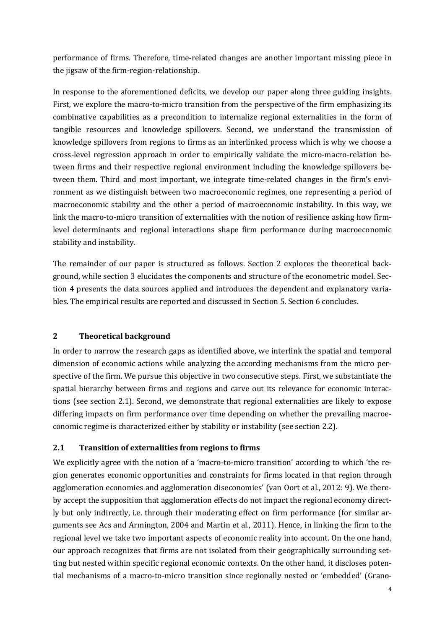performance of firms. Therefore, time-related changes are another important missing piece in the jigsaw of the firm-region-relationship.

In response to the aforementioned deficits, we develop our paper along three guiding insights. First, we explore the macro-to-micro transition from the perspective of the firm emphasizing its combinative capabilities as a precondition to internalize regional externalities in the form of tangible resources and knowledge spillovers. Second, we understand the transmission of knowledge spillovers from regions to firms as an interlinked process which is why we choose a cross-level regression approach in order to empirically validate the micro-macro-relation between firms and their respective regional environment including the knowledge spillovers between them. Third and most important, we integrate time-related changes in the firm's environment as we distinguish between two macroeconomic regimes, one representing a period of macroeconomic stability and the other a period of macroeconomic instability. In this way, we link the macro-to-micro transition of externalities with the notion of resilience asking how firmlevel determinants and regional interactions shape firm performance during macroeconomic stability and instability.

The remainder of our paper is structured as follows. Section 2 explores the theoretical background, while section 3 elucidates the components and structure of the econometric model. Section 4 presents the data sources applied and introduces the dependent and explanatory variables. The empirical results are reported and discussed in Section 5. Section 6 concludes.

## <span id="page-4-0"></span>**2 Theoretical background**

In order to narrow the research gaps as identified above, we interlink the spatial and temporal dimension of economic actions while analyzing the according mechanisms from the micro perspective of the firm. We pursue this objective in two consecutive steps. First, we substantiate the spatial hierarchy between firms and regions and carve out its relevance for economic interactions (see section 2.1). Second, we demonstrate that regional externalities are likely to expose differing impacts on firm performance over time depending on whether the prevailing macroeconomic regime is characterized either by stability or instability (see section 2.2).

### <span id="page-4-1"></span>**2.1 Transition of externalities from regions to firms**

We explicitly agree with the notion of a 'macro-to-micro transition' according to which 'the region generates economic opportunities and constraints for firms located in that region through agglomeration economies and agglomeration diseconomies' (van Oort et al., 2012: 9). We thereby accept the supposition that agglomeration effects do not impact the regional economy directly but only indirectly, i.e. through their moderating effect on firm performance (for similar arguments see Acs and Armington, 2004 and Martin et al., 2011). Hence, in linking the firm to the regional level we take two important aspects of economic reality into account. On the one hand, our approach recognizes that firms are not isolated from their geographically surrounding setting but nested within specific regional economic contexts. On the other hand, it discloses potential mechanisms of a macro-to-micro transition since regionally nested or 'embedded' (Grano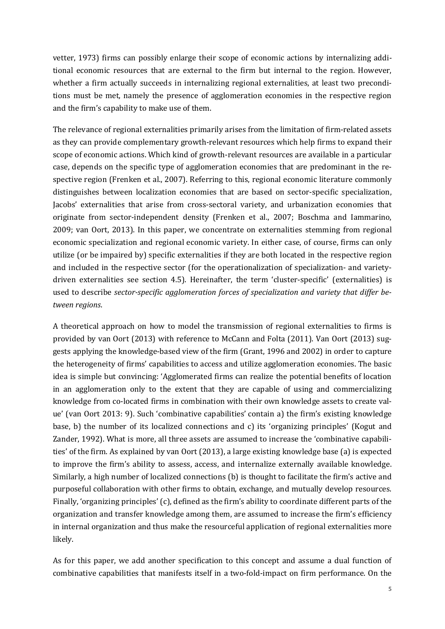vetter, 1973) firms can possibly enlarge their scope of economic actions by internalizing additional economic resources that are external to the firm but internal to the region. However, whether a firm actually succeeds in internalizing regional externalities, at least two preconditions must be met, namely the presence of agglomeration economies in the respective region and the firm's capability to make use of them.

The relevance of regional externalities primarily arises from the limitation of firm-related assets as they can provide complementary growth-relevant resources which help firms to expand their scope of economic actions. Which kind of growth-relevant resources are available in a particular case, depends on the specific type of agglomeration economies that are predominant in the respective region (Frenken et al., 2007). Referring to this, regional economic literature commonly distinguishes between localization economies that are based on sector-specific specialization, Jacobs' externalities that arise from cross-sectoral variety, and urbanization economies that originate from sector-independent density (Frenken et al., 2007; Boschma and Iammarino, 2009; van Oort, 2013). In this paper, we concentrate on externalities stemming from regional economic specialization and regional economic variety. In either case, of course, firms can only utilize (or be impaired by) specific externalities if they are both located in the respective region and included in the respective sector (for the operationalization of specialization- and varietydriven externalities see section 4.5). Hereinafter, the term 'cluster-specific' (externalities) is used to describe *sector-specific agglomeration forces of specialization and variety that differ between regions*.

A theoretical approach on how to model the transmission of regional externalities to firms is provided by van Oort (2013) with reference to McCann and Folta (2011). Van Oort (2013) suggests applying the knowledge-based view of the firm (Grant, 1996 and 2002) in order to capture the heterogeneity of firms' capabilities to access and utilize agglomeration economies. The basic idea is simple but convincing: 'Agglomerated firms can realize the potential benefits of location in an agglomeration only to the extent that they are capable of using and commercializing knowledge from co-located firms in combination with their own knowledge assets to create value' (van Oort 2013: 9). Such 'combinative capabilities' contain a) the firm's existing knowledge base, b) the number of its localized connections and c) its 'organizing principles' (Kogut and Zander, 1992). What is more, all three assets are assumed to increase the 'combinative capabilities' of the firm. As explained by van Oort (2013), a large existing knowledge base (a) is expected to improve the firm's ability to assess, access, and internalize externally available knowledge. Similarly, a high number of localized connections (b) is thought to facilitate the firm's active and purposeful collaboration with other firms to obtain, exchange, and mutually develop resources. Finally, 'organizing principles' (c), defined as the firm's ability to coordinate different parts of the organization and transfer knowledge among them, are assumed to increase the firm's efficiency in internal organization and thus make the resourceful application of regional externalities more likely.

As for this paper, we add another specification to this concept and assume a dual function of combinative capabilities that manifests itself in a two-fold-impact on firm performance. On the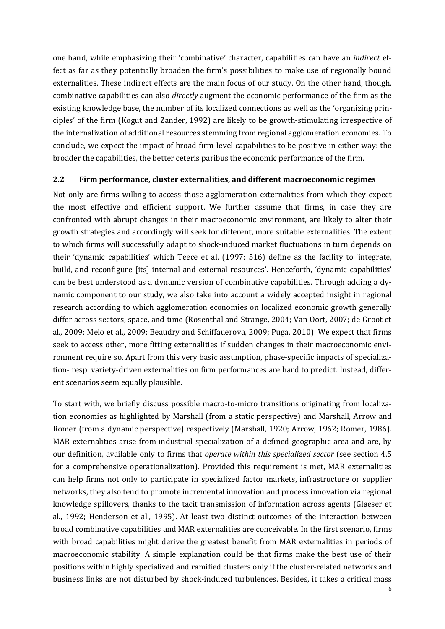one hand, while emphasizing their 'combinative' character, capabilities can have an *indirect* effect as far as they potentially broaden the firm's possibilities to make use of regionally bound externalities. These indirect effects are the main focus of our study. On the other hand, though, combinative capabilities can also *directly* augment the economic performance of the firm as the existing knowledge base, the number of its localized connections as well as the 'organizing principles' of the firm (Kogut and Zander, 1992) are likely to be growth-stimulating irrespective of the internalization of additional resources stemming from regional agglomeration economies. To conclude, we expect the impact of broad firm-level capabilities to be positive in either way: the broader the capabilities, the better ceteris paribus the economic performance of the firm.

### <span id="page-6-0"></span>**2.2 Firm performance, cluster externalities, and different macroeconomic regimes**

Not only are firms willing to access those agglomeration externalities from which they expect the most effective and efficient support. We further assume that firms, in case they are confronted with abrupt changes in their macroeconomic environment, are likely to alter their growth strategies and accordingly will seek for different, more suitable externalities. The extent to which firms will successfully adapt to shock-induced market fluctuations in turn depends on their 'dynamic capabilities' which Teece et al. (1997: 516) define as the facility to 'integrate, build, and reconfigure [its] internal and external resources'. Henceforth, 'dynamic capabilities' can be best understood as a dynamic version of combinative capabilities. Through adding a dynamic component to our study, we also take into account a widely accepted insight in regional research according to which agglomeration economies on localized economic growth generally differ across sectors, space, and time (Rosenthal and Strange, 2004; Van Oort, 2007; de Groot et al., 2009; Melo et al., 2009; Beaudry and Schiffauerova, 2009; Puga, 2010). We expect that firms seek to access other, more fitting externalities if sudden changes in their macroeconomic environment require so. Apart from this very basic assumption, phase-specific impacts of specialization- resp. variety-driven externalities on firm performances are hard to predict. Instead, different scenarios seem equally plausible.

To start with, we briefly discuss possible macro-to-micro transitions originating from localization economies as highlighted by Marshall (from a static perspective) and Marshall, Arrow and Romer (from a dynamic perspective) respectively (Marshall, 1920; Arrow, 1962; Romer, 1986). MAR externalities arise from industrial specialization of a defined geographic area and are, by our definition, available only to firms that *operate within this specialized sector* (see section 4.5 for a comprehensive operationalization). Provided this requirement is met, MAR externalities can help firms not only to participate in specialized factor markets, infrastructure or supplier networks, they also tend to promote incremental innovation and process innovation via regional knowledge spillovers, thanks to the tacit transmission of information across agents (Glaeser et al., 1992; Henderson et al., 1995). At least two distinct outcomes of the interaction between broad combinative capabilities and MAR externalities are conceivable. In the first scenario, firms with broad capabilities might derive the greatest benefit from MAR externalities in periods of macroeconomic stability. A simple explanation could be that firms make the best use of their positions within highly specialized and ramified clusters only if the cluster-related networks and business links are not disturbed by shock-induced turbulences. Besides, it takes a critical mass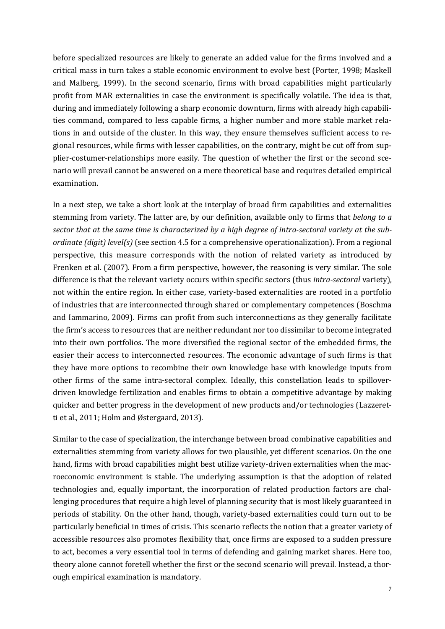before specialized resources are likely to generate an added value for the firms involved and a critical mass in turn takes a stable economic environment to evolve best (Porter, 1998; Maskell and Malberg, 1999). In the second scenario, firms with broad capabilities might particularly profit from MAR externalities in case the environment is specifically volatile. The idea is that, during and immediately following a sharp economic downturn, firms with already high capabilities command, compared to less capable firms, a higher number and more stable market relations in and outside of the cluster. In this way, they ensure themselves sufficient access to regional resources, while firms with lesser capabilities, on the contrary, might be cut off from supplier-costumer-relationships more easily. The question of whether the first or the second scenario will prevail cannot be answered on a mere theoretical base and requires detailed empirical examination.

In a next step, we take a short look at the interplay of broad firm capabilities and externalities stemming from variety. The latter are, by our definition, available only to firms that *belong to a sector that at the same time is characterized by a high degree of intra-sectoral variety at the subordinate (digit) level(s)* (see section 4.5 for a comprehensive operationalization). From a regional perspective, this measure corresponds with the notion of related variety as introduced by Frenken et al. (2007). From a firm perspective, however, the reasoning is very similar. The sole difference is that the relevant variety occurs within specific sectors (thus *intra-sectoral* variety), not within the entire region. In either case, variety-based externalities are rooted in a portfolio of industries that are interconnected through shared or complementary competences (Boschma and Iammarino, 2009). Firms can profit from such interconnections as they generally facilitate the firm's access to resources that are neither redundant nor too dissimilar to become integrated into their own portfolios. The more diversified the regional sector of the embedded firms, the easier their access to interconnected resources. The economic advantage of such firms is that they have more options to recombine their own knowledge base with knowledge inputs from other firms of the same intra-sectoral complex. Ideally, this constellation leads to spilloverdriven knowledge fertilization and enables firms to obtain a competitive advantage by making quicker and better progress in the development of new products and/or technologies (Lazzeretti et al., 2011; Holm and Østergaard, 2013).

Similar to the case of specialization, the interchange between broad combinative capabilities and externalities stemming from variety allows for two plausible, yet different scenarios. On the one hand, firms with broad capabilities might best utilize variety-driven externalities when the macroeconomic environment is stable. The underlying assumption is that the adoption of related technologies and, equally important, the incorporation of related production factors are challenging procedures that require a high level of planning security that is most likely guaranteed in periods of stability. On the other hand, though, variety-based externalities could turn out to be particularly beneficial in times of crisis. This scenario reflects the notion that a greater variety of accessible resources also promotes flexibility that, once firms are exposed to a sudden pressure to act, becomes a very essential tool in terms of defending and gaining market shares. Here too, theory alone cannot foretell whether the first or the second scenario will prevail. Instead, a thorough empirical examination is mandatory.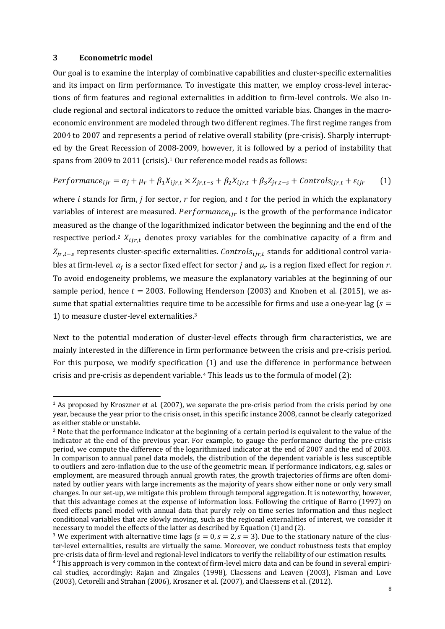#### <span id="page-8-0"></span>**3 Econometric model**

Our goal is to examine the interplay of combinative capabilities and cluster-specific externalities and its impact on firm performance. To investigate this matter, we employ cross-level interactions of firm features and regional externalities in addition to firm-level controls. We also include regional and sectoral indicators to reduce the omitted variable bias. Changes in the macroeconomic environment are modeled through two different regimes. The first regime ranges from 2004 to 2007 and represents a period of relative overall stability (pre-crisis). Sharply interrupted by the Great Recession of 2008-2009, however, it is followed by a period of instability that spans from 2009 to 20[1](#page-8-1)1 (crisis).<sup>1</sup> Our reference model reads as follows:

$$
Performance_{ijr} = \alpha_j + \mu_r + \beta_1 X_{ijr,t} \times Z_{jr,t-s} + \beta_2 X_{ijr,t} + \beta_3 Z_{jr,t-s} + \text{Controls}_{ijr,t} + \varepsilon_{ijr} \tag{1}
$$

where *i* stands for firm, *j* for sector, *r* for region, and *t* for the period in which the explanatory variables of interest are measured. Performance<sub>iir</sub> is the growth of the performance indicator measured as the c[ha](#page-8-2)nge of the logarithmized indicator between the beginning and the end of the respective period.<sup>2</sup>  $X_{i,r,t}$  denotes proxy variables for the combinative capacity of a firm and  $Z_{ir,t-s}$  represents cluster-specific externalities. Controls<sub>iir,t</sub> stands for additional control variables at firm-level.  $\alpha_i$  is a sector fixed effect for sector *j* and  $\mu_r$  is a region fixed effect for region *r*. To avoid endogeneity problems, we measure the explanatory variables at the beginning of our sample period, hence  $t = 2003$ . Following Henderson (2003) and Knoben et al. (2015), we assume that spatial externalities require time to be accessible for firms and use a one-year lag ( $s =$ 1) to measure cluster-level externalities[.3](#page-8-3)

Next to the potential moderation of cluster-level effects through firm characteristics, we are mainly interested in the difference in firm performance between the crisis and pre-crisis period. For this purpose, we modify specification [\(](#page-8-4)1) and use the difference in performance between crisis and pre-crisis as dependent variable.<sup>4</sup> This leads us to the formula of model  $(2)$ :

<span id="page-8-1"></span><sup>&</sup>lt;sup>1</sup> As proposed by Kroszner et al. (2007), we separate the pre-crisis period from the crisis period by one year, because the year prior to the crisis onset, in this specific instance 2008, cannot be clearly categorized as either stable or unstable.

<span id="page-8-2"></span><sup>2</sup> Note that the performance indicator at the beginning of a certain period is equivalent to the value of the indicator at the end of the previous year. For example, to gauge the performance during the pre-crisis period, we compute the difference of the logarithmized indicator at the end of 2007 and the end of 2003. In comparison to annual panel data models, the distribution of the dependent variable is less susceptible to outliers and zero-inflation due to the use of the geometric mean. If performance indicators, e.g. sales or employment, are measured through annual growth rates, the growth trajectories of firms are often dominated by outlier years with large increments as the majority of years show either none or only very small changes. In our set-up, we mitigate this problem through temporal aggregation. It is noteworthy, however, that this advantage comes at the expense of information loss. Following the critique of Barro (1997) on fixed effects panel model with annual data that purely rely on time series information and thus neglect conditional variables that are slowly moving, such as the regional externalities of interest, we consider it necessary to model the effects of the latter as described by Equation (1) and (2).

<span id="page-8-3"></span><sup>&</sup>lt;sup>3</sup> We experiment with alternative time lags ( $s = 0$ ,  $s = 2$ ,  $s = 3$ ). Due to the stationary nature of the cluster-level externalities, results are virtually the same. Moreover, we conduct robustness tests that employ<br>pre-crisis data of firm-level and regional-level indicators to verify the reliability of our estimation results.

<span id="page-8-4"></span> $4$  This approach is very common in the context of firm-level micro data and can be found in several empirical studies, accordingly: Rajan and Zingales (1998), Claessens and Leaven (2003), Fisman and Love (2003), Cetorelli and Strahan (2006), Kroszner et al. (2007), and Claessens et al. (2012).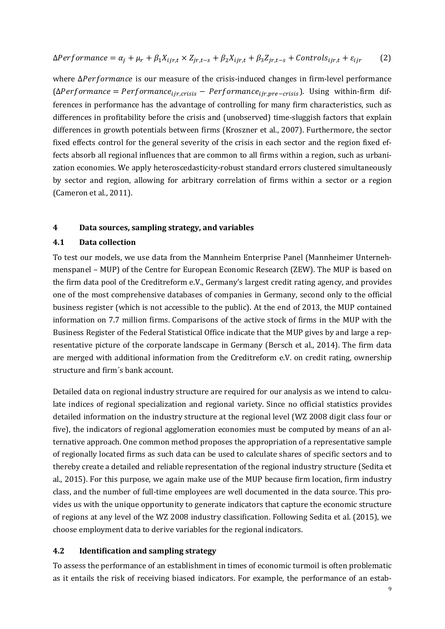$$
\Delta Performance = \alpha_j + \mu_r + \beta_1 X_{ijr,t} \times Z_{jr,t-s} + \beta_2 X_{ijr,t} + \beta_3 Z_{jr,t-s} + \text{Controls}_{ijr,t} + \varepsilon_{ijr} \tag{2}
$$

where  $\Delta$ *Performance* is our measure of the crisis-induced changes in firm-level performance  $(\Delta$ Performance = Performance<sub>ijr,crisis</sub> – Performance<sub>ijr,pre-crisis</sub>). Using within-firm differences in performance has the advantage of controlling for many firm characteristics, such as differences in profitability before the crisis and (unobserved) time-sluggish factors that explain differences in growth potentials between firms (Kroszner et al., 2007). Furthermore, the sector fixed effects control for the general severity of the crisis in each sector and the region fixed effects absorb all regional influences that are common to all firms within a region, such as urbanization economies. We apply heteroscedasticity-robust standard errors clustered simultaneously by sector and region, allowing for arbitrary correlation of firms within a sector or a region (Cameron et al., 2011).

### <span id="page-9-0"></span>**4 Data sources, sampling strategy, and variables**

### <span id="page-9-1"></span>**4.1 Data collection**

To test our models, we use data from the Mannheim Enterprise Panel (Mannheimer Unternehmenspanel – MUP) of the Centre for European Economic Research (ZEW). The MUP is based on the firm data pool of the Creditreform e.V., Germany's largest credit rating agency, and provides one of the most comprehensive databases of companies in Germany, second only to the official business register (which is not accessible to the public). At the end of 2013, the MUP contained information on 7.7 million firms. Comparisons of the active stock of firms in the MUP with the Business Register of the Federal Statistical Office indicate that the MUP gives by and large a representative picture of the corporate landscape in Germany (Bersch et al., 2014). The firm data are merged with additional information from the Creditreform e.V. on credit rating, ownership structure and firm´s bank account.

Detailed data on regional industry structure are required for our analysis as we intend to calculate indices of regional specialization and regional variety. Since no official statistics provides detailed information on the industry structure at the regional level (WZ 2008 digit class four or five), the indicators of regional agglomeration economies must be computed by means of an alternative approach. One common method proposes the appropriation of a representative sample of regionally located firms as such data can be used to calculate shares of specific sectors and to thereby create a detailed and reliable representation of the regional industry structure (Sedita et al., 2015). For this purpose, we again make use of the MUP because firm location, firm industry class, and the number of full-time employees are well documented in the data source. This provides us with the unique opportunity to generate indicators that capture the economic structure of regions at any level of the WZ 2008 industry classification. Following Sedita et al. (2015), we choose employment data to derive variables for the regional indicators.

### <span id="page-9-2"></span>**4.2 Identification and sampling strategy**

To assess the performance of an establishment in times of economic turmoil is often problematic as it entails the risk of receiving biased indicators. For example, the performance of an estab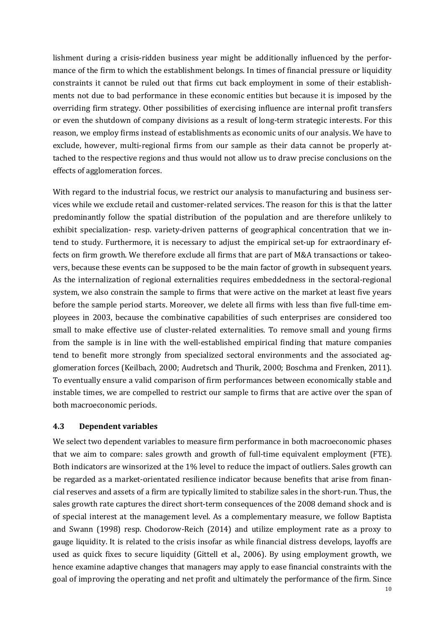lishment during a crisis-ridden business year might be additionally influenced by the performance of the firm to which the establishment belongs. In times of financial pressure or liquidity constraints it cannot be ruled out that firms cut back employment in some of their establishments not due to bad performance in these economic entities but because it is imposed by the overriding firm strategy. Other possibilities of exercising influence are internal profit transfers or even the shutdown of company divisions as a result of long-term strategic interests. For this reason, we employ firms instead of establishments as economic units of our analysis. We have to exclude, however, multi-regional firms from our sample as their data cannot be properly attached to the respective regions and thus would not allow us to draw precise conclusions on the effects of agglomeration forces.

With regard to the industrial focus, we restrict our analysis to manufacturing and business services while we exclude retail and customer-related services. The reason for this is that the latter predominantly follow the spatial distribution of the population and are therefore unlikely to exhibit specialization- resp. variety-driven patterns of geographical concentration that we intend to study. Furthermore, it is necessary to adjust the empirical set-up for extraordinary effects on firm growth. We therefore exclude all firms that are part of M&A transactions or takeovers, because these events can be supposed to be the main factor of growth in subsequent years. As the internalization of regional externalities requires embeddedness in the sectoral-regional system, we also constrain the sample to firms that were active on the market at least five years before the sample period starts. Moreover, we delete all firms with less than five full-time employees in 2003, because the combinative capabilities of such enterprises are considered too small to make effective use of cluster-related externalities. To remove small and young firms from the sample is in line with the well-established empirical finding that mature companies tend to benefit more strongly from specialized sectoral environments and the associated agglomeration forces (Keilbach, 2000; Audretsch and Thurik, 2000; Boschma and Frenken, 2011). To eventually ensure a valid comparison of firm performances between economically stable and instable times, we are compelled to restrict our sample to firms that are active over the span of both macroeconomic periods.

#### <span id="page-10-0"></span>**4.3 Dependent variables**

We select two dependent variables to measure firm performance in both macroeconomic phases that we aim to compare: sales growth and growth of full-time equivalent employment (FTE). Both indicators are winsorized at the 1% level to reduce the impact of outliers. Sales growth can be regarded as a market-orientated resilience indicator because benefits that arise from financial reserves and assets of a firm are typically limited to stabilize sales in the short-run. Thus, the sales growth rate captures the direct short-term consequences of the 2008 demand shock and is of special interest at the management level. As a complementary measure, we follow Baptista and Swann (1998) resp. Chodorow-Reich (2014) and utilize employment rate as a proxy to gauge liquidity. It is related to the crisis insofar as while financial distress develops, layoffs are used as quick fixes to secure liquidity (Gittell et al., 2006). By using employment growth, we hence examine adaptive changes that managers may apply to ease financial constraints with the goal of improving the operating and net profit and ultimately the performance of the firm. Since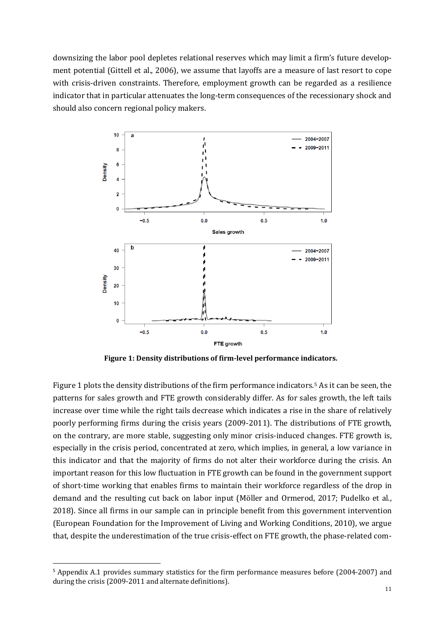downsizing the labor pool depletes relational reserves which may limit a firm's future development potential (Gittell et al., 2006), we assume that layoffs are a measure of last resort to cope with crisis-driven constraints. Therefore, employment growth can be regarded as a resilience indicator that in particular attenuates the long-term consequences of the recessionary shock and should also concern regional policy makers.



**Figure 1: Density distributions of firm-level performance indicators.**

Figure 1 plots the density distributions of the firm performance indicators.[5](#page-11-0) As it can be seen, the patterns for sales growth and FTE growth considerably differ. As for sales growth, the left tails increase over time while the right tails decrease which indicates a rise in the share of relatively poorly performing firms during the crisis years (2009-2011). The distributions of FTE growth, on the contrary, are more stable, suggesting only minor crisis-induced changes. FTE growth is, especially in the crisis period, concentrated at zero, which implies, in general, a low variance in this indicator and that the majority of firms do not alter their workforce during the crisis. An important reason for this low fluctuation in FTE growth can be found in the government support of short-time working that enables firms to maintain their workforce regardless of the drop in demand and the resulting cut back on labor input (Möller and Ormerod, 2017; Pudelko et al., 2018). Since all firms in our sample can in principle benefit from this government intervention (European Foundation for the Improvement of Living and Working Conditions, 2010), we argue that, despite the underestimation of the true crisis-effect on FTE growth, the phase-related com-

<span id="page-11-0"></span> <sup>5</sup> Appendix A.1 provides summary statistics for the firm performance measures before (2004-2007) and during the crisis (2009-2011 and alternate definitions).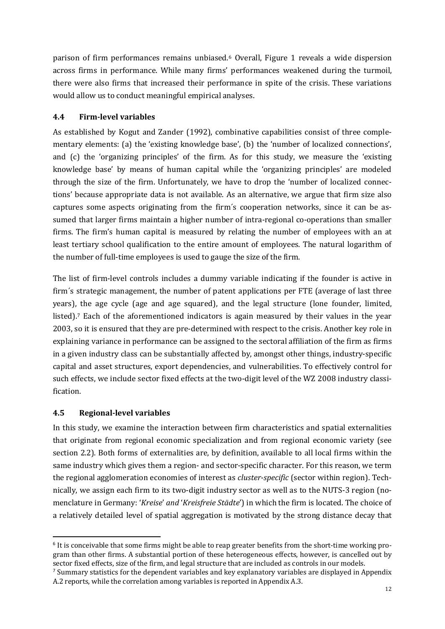parison of firm performances remains unbiased.[6](#page-12-2) Overall, Figure 1 reveals a wide dispersion across firms in performance. While many firms' performances weakened during the turmoil, there were also firms that increased their performance in spite of the crisis. These variations would allow us to conduct meaningful empirical analyses.

## <span id="page-12-0"></span>**4.4 Firm-level variables**

As established by Kogut and Zander (1992), combinative capabilities consist of three complementary elements: (a) the 'existing knowledge base', (b) the 'number of localized connections', and (c) the 'organizing principles' of the firm. As for this study, we measure the 'existing knowledge base' by means of human capital while the 'organizing principles' are modeled through the size of the firm. Unfortunately, we have to drop the 'number of localized connections' because appropriate data is not available. As an alternative, we argue that firm size also captures some aspects originating from the firm´s cooperation networks, since it can be assumed that larger firms maintain a higher number of intra-regional co-operations than smaller firms. The firm's human capital is measured by relating the number of employees with an at least tertiary school qualification to the entire amount of employees. The natural logarithm of the number of full-time employees is used to gauge the size of the firm.

The list of firm-level controls includes a dummy variable indicating if the founder is active in firm´s strategic management, the number of patent applications per FTE (average of last three years), [t](#page-12-3)he age cycle (age and age squared), and the legal structure (lone founder, limited, listed).7 Each of the aforementioned indicators is again measured by their values in the year 2003, so it is ensured that they are pre-determined with respect to the crisis. Another key role in explaining variance in performance can be assigned to the sectoral affiliation of the firm as firms in a given industry class can be substantially affected by, amongst other things, industry-specific capital and asset structures, export dependencies, and vulnerabilities. To effectively control for such effects, we include sector fixed effects at the two-digit level of the WZ 2008 industry classification.

## <span id="page-12-1"></span>**4.5 Regional-level variables**

In this study, we examine the interaction between firm characteristics and spatial externalities that originate from regional economic specialization and from regional economic variety (see section 2.2). Both forms of externalities are, by definition, available to all local firms within the same industry which gives them a region- and sector-specific character. For this reason, we term the regional agglomeration economies of interest as *cluster-specific* (sector within region). Technically, we assign each firm to its two-digit industry sector as well as to the NUTS-3 region (nomenclature in Germany: '*Kreise*' *and* '*Kreisfreie Städte*') in which the firm is located. The choice of a relatively detailed level of spatial aggregation is motivated by the strong distance decay that

<span id="page-12-2"></span> <sup>6</sup> It is conceivable that some firms might be able to reap greater benefits from the short-time working program than other firms. A substantial portion of these heterogeneous effects, however, is cancelled out by sector fixed effects, size of the firm, and legal structure that are included as controls in our models.

<span id="page-12-3"></span><sup>&</sup>lt;sup>7</sup> Summary statistics for the dependent variables and key explanatory variables are displayed in Appendix A.2 reports, while the correlation among variables is reported in Appendix A.3.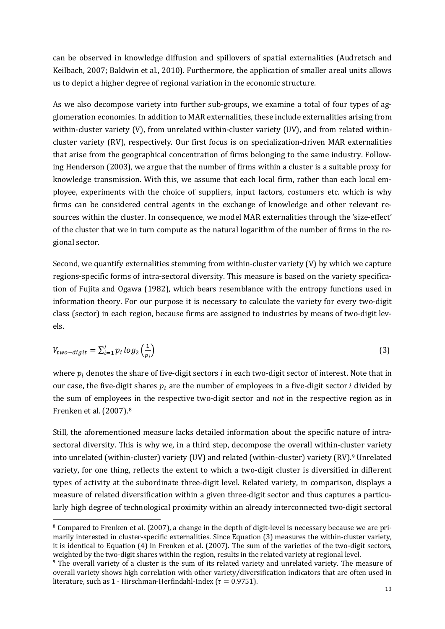can be observed in knowledge diffusion and spillovers of spatial externalities (Audretsch and Keilbach, 2007; Baldwin et al., 2010). Furthermore, the application of smaller areal units allows us to depict a higher degree of regional variation in the economic structure.

As we also decompose variety into further sub-groups, we examine a total of four types of agglomeration economies. In addition to MAR externalities, these include externalities arising from within-cluster variety (V), from unrelated within-cluster variety (UV), and from related withincluster variety (RV), respectively. Our first focus is on specialization-driven MAR externalities that arise from the geographical concentration of firms belonging to the same industry. Following Henderson (2003), we argue that the number of firms within a cluster is a suitable proxy for knowledge transmission. With this, we assume that each local firm, rather than each local employee, experiments with the choice of suppliers, input factors, costumers etc. which is why firms can be considered central agents in the exchange of knowledge and other relevant resources within the cluster. In consequence, we model MAR externalities through the 'size-effect' of the cluster that we in turn compute as the natural logarithm of the number of firms in the regional sector.

Second, we quantify externalities stemming from within-cluster variety (V) by which we capture regions-specific forms of intra-sectoral diversity. This measure is based on the variety specification of Fujita and Ogawa (1982), which bears resemblance with the entropy functions used in information theory. For our purpose it is necessary to calculate the variety for every two-digit class (sector) in each region, because firms are assigned to industries by means of two-digit levels.

$$
V_{two-digit} = \sum_{i=1}^{I} p_i \log_2 \left(\frac{1}{p_i}\right) \tag{3}
$$

where  $p_i$  denotes the share of five-digit sectors *i* in each two-digit sector of interest. Note that in our case, the five-digit shares  $p_i$  are the number of employees in a five-digit sector *i* divided by the sum of employees in the respective two-digit sector and *not* in the respective region as in Frenken et al. (2007).[8](#page-13-0)

Still, the aforementioned measure lacks detailed information about the specific nature of intrasectoral diversity. This is why we, in a third step, decompose the overall within-cluster variety into unrelated (within-cluster) variety (UV) and related (within-cluster) variety (RV).[9](#page-13-1) Unrelated variety, for one thing, reflects the extent to which a two-digit cluster is diversified in different types of activity at the subordinate three-digit level. Related variety, in comparison, displays a measure of related diversification within a given three-digit sector and thus captures a particularly high degree of technological proximity within an already interconnected two-digit sectoral

<span id="page-13-0"></span> <sup>8</sup> Compared to Frenken et al. (2007), a change in the depth of digit-level is necessary because we are primarily interested in cluster-specific externalities. Since Equation (3) measures the within-cluster variety, it is identical to Equation  $(4)$  in Frenken et al. (2007). The sum of the varieties of the two-digit sectors, weighted by the two-digit shares within the region, results in the related variety at regional level.

<span id="page-13-1"></span><sup>&</sup>lt;sup>9</sup> The overall variety of a cluster is the sum of its related variety and unrelated variety. The measure of overall variety shows high correlation with other variety/diversification indicators that are often used in literature, such as 1 - Hirschman-Herfindahl-Index ( $\tau = 0.9751$ ).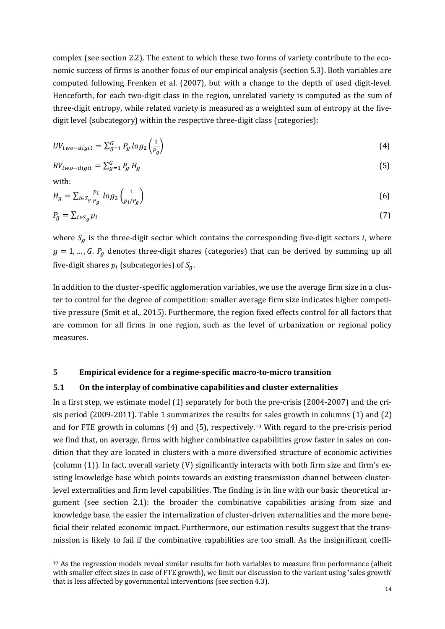complex (see section 2.2). The extent to which these two forms of variety contribute to the economic success of firms is another focus of our empirical analysis (section 5.3). Both variables are computed following Frenken et al. (2007), but with a change to the depth of used digit-level. Henceforth, for each two-digit class in the region, unrelated variety is computed as the sum of three-digit entropy, while related variety is measured as a weighted sum of entropy at the fivedigit level (subcategory) within the respective three-digit class (categories):

$$
UV_{two-digit} = \sum_{g=1}^{G} P_g \log_2 \left(\frac{1}{P_g}\right) \tag{4}
$$

$$
RV_{two-digit} = \sum_{g=1}^{G} P_g H_g \tag{5}
$$

with:

 $\overline{a}$ 

$$
H_g = \sum_{i \in S_g} \frac{p_i}{p_g} \log_2 \left(\frac{1}{p_i/p_g}\right) \tag{6}
$$

$$
P_g = \sum_{i \in S_g} p_i \tag{7}
$$

where  $S<sub>g</sub>$  is the three-digit sector which contains the corresponding five-digit sectors *i*, where  $g = 1, ..., G$ .  $P_g$  denotes three-digit shares (categories) that can be derived by summing up all five-digit shares  $p_i$  (subcategories) of  $S_a$ .

In addition to the cluster-specific agglomeration variables, we use the average firm size in a cluster to control for the degree of competition: smaller average firm size indicates higher competitive pressure (Smit et al., 2015). Furthermore, the region fixed effects control for all factors that are common for all firms in one region, such as the level of urbanization or regional policy measures.

### <span id="page-14-0"></span>**5 Empirical evidence for a regime-specific macro-to-micro transition**

#### <span id="page-14-1"></span>**5.1 On the interplay of combinative capabilities and cluster externalities**

In a first step, we estimate model (1) separately for both the pre-crisis (2004-2007) and the crisis period (2009-2011). Table 1 summarizes the results for sales growth in columns (1) and (2) and for FTE growth in columns (4) and (5), respectively.[10](#page-14-2) With regard to the pre-crisis period we find that, on average, firms with higher combinative capabilities grow faster in sales on condition that they are located in clusters with a more diversified structure of economic activities (column (1)). In fact, overall variety (V) significantly interacts with both firm size and firm's existing knowledge base which points towards an existing transmission channel between clusterlevel externalities and firm level capabilities. The finding is in line with our basic theoretical argument (see section 2.1): the broader the combinative capabilities arising from size and knowledge base, the easier the internalization of cluster-driven externalities and the more beneficial their related economic impact. Furthermore, our estimation results suggest that the transmission is likely to fail if the combinative capabilities are too small. As the insignificant coeffi-

<span id="page-14-2"></span><sup>10</sup> As the regression models reveal similar results for both variables to measure firm performance (albeit with smaller effect sizes in case of FTE growth), we limit our discussion to the variant using 'sales growth' that is less affected by governmental interventions (see section 4.3).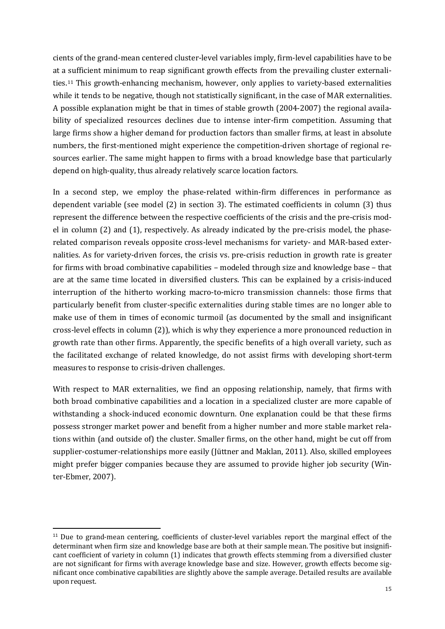cients of the grand-mean centered cluster-level variables imply, firm-level capabilities have to be at a sufficient minimum to reap significant growth effects from the prevailing cluster externalities[.11](#page-15-0) This growth-enhancing mechanism, however, only applies to variety-based externalities while it tends to be negative, though not statistically significant, in the case of MAR externalities. A possible explanation might be that in times of stable growth (2004-2007) the regional availability of specialized resources declines due to intense inter-firm competition. Assuming that large firms show a higher demand for production factors than smaller firms, at least in absolute numbers, the first-mentioned might experience the competition-driven shortage of regional resources earlier. The same might happen to firms with a broad knowledge base that particularly depend on high-quality, thus already relatively scarce location factors.

In a second step, we employ the phase-related within-firm differences in performance as dependent variable (see model (2) in section 3). The estimated coefficients in column (3) thus represent the difference between the respective coefficients of the crisis and the pre-crisis model in column (2) and (1), respectively. As already indicated by the pre-crisis model, the phaserelated comparison reveals opposite cross-level mechanisms for variety- and MAR-based externalities. As for variety-driven forces, the crisis vs. pre-crisis reduction in growth rate is greater for firms with broad combinative capabilities – modeled through size and knowledge base – that are at the same time located in diversified clusters. This can be explained by a crisis-induced interruption of the hitherto working macro-to-micro transmission channels: those firms that particularly benefit from cluster-specific externalities during stable times are no longer able to make use of them in times of economic turmoil (as documented by the small and insignificant cross-level effects in column (2)), which is why they experience a more pronounced reduction in growth rate than other firms. Apparently, the specific benefits of a high overall variety, such as the facilitated exchange of related knowledge, do not assist firms with developing short-term measures to response to crisis-driven challenges.

With respect to MAR externalities, we find an opposing relationship, namely, that firms with both broad combinative capabilities and a location in a specialized cluster are more capable of withstanding a shock-induced economic downturn. One explanation could be that these firms possess stronger market power and benefit from a higher number and more stable market relations within (and outside of) the cluster. Smaller firms, on the other hand, might be cut off from supplier-costumer-relationships more easily (Jüttner and Maklan, 2011). Also, skilled employees might prefer bigger companies because they are assumed to provide higher job security (Winter-Ebmer, 2007).

<span id="page-15-0"></span><sup>&</sup>lt;sup>11</sup> Due to grand-mean centering, coefficients of cluster-level variables report the marginal effect of the determinant when firm size and knowledge base are both at their sample mean. The positive but insignificant coefficient of variety in column (1) indicates that growth effects stemming from a diversified cluster are not significant for firms with average knowledge base and size. However, growth effects become significant once combinative capabilities are slightly above the sample average. Detailed results are available upon request.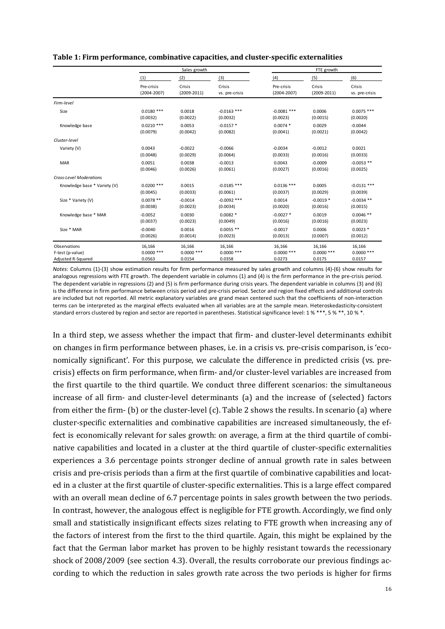|                                |                 | Sales growth    |                | FTE growth      |                 |                |  |  |
|--------------------------------|-----------------|-----------------|----------------|-----------------|-----------------|----------------|--|--|
|                                | (1)             | (2)             | (3)            | (4)             | (5)             | (6)            |  |  |
|                                | Pre-crisis      | Crisis          | Crisis         | Pre-crisis      | Crisis          | Crisis         |  |  |
|                                | $(2004 - 2007)$ | $(2009 - 2011)$ | vs. pre-crisis | $(2004 - 2007)$ | $(2009 - 2011)$ | vs. pre-crisis |  |  |
| Firm-level                     |                 |                 |                |                 |                 |                |  |  |
| Size                           | $0.0180$ ***    | 0.0018          | $-0.0163$ ***  | $-0.0081$ ***   | 0.0006          | $0.0075$ ***   |  |  |
|                                | (0.0032)        | (0.0022)        | (0.0032)       | (0.0023)        | (0.0015)        | (0.0020)       |  |  |
| Knowledge base                 | $0.0210$ ***    | 0.0053          | $-0.0157$ *    | $0.0074*$       | 0.0029          | $-0.0044$      |  |  |
|                                | (0.0079)        | (0.0042)        | (0.0082)       | (0.0041)        | (0.0021)        | (0.0042)       |  |  |
| Cluster-level                  |                 |                 |                |                 |                 |                |  |  |
| Variety (V)                    | 0.0043          | $-0.0022$       | $-0.0066$      | $-0.0034$       | $-0.0012$       | 0.0021         |  |  |
|                                | (0.0048)        | (0.0029)        | (0.0064)       | (0.0033)        | (0.0016)        | (0.0033)       |  |  |
| <b>MAR</b>                     | 0.0051          | 0.0038          | $-0.0013$      | 0.0043          | $-0.0009$       | $-0.0053$ **   |  |  |
|                                | (0.0046)        | (0.0026)        | (0.0061)       | (0.0027)        | (0.0016)        | (0.0025)       |  |  |
| <b>Cross-Level Moderations</b> |                 |                 |                |                 |                 |                |  |  |
| Knowledge base * Variety (V)   | $0.0200$ ***    | 0.0015          | $-0.0185$ ***  | $0.0136$ ***    | 0.0005          | $-0.0131$ ***  |  |  |
|                                | (0.0045)        | (0.0033)        | (0.0061)       | (0.0037)        | (0.0029)        | (0.0039)       |  |  |
| Size * Variety (V)             | $0.0078$ **     | $-0.0014$       | $-0.0092$ ***  | 0.0014          | $-0.0019$ *     | $-0.0034$ **   |  |  |
|                                | (0.0038)        | (0.0023)        | (0.0034)       | (0.0020)        | (0.0016)        | (0.0015)       |  |  |
| Knowledge base * MAR           | $-0.0052$       | 0.0030          | $0.0082*$      | $-0.0027$ *     | 0.0019          | $0.0046**$     |  |  |
|                                | (0.0037)        | (0.0023)        | (0.0049)       | (0.0016)        | (0.0016)        | (0.0023)       |  |  |
| Size * MAR                     | $-0.0040$       | 0.0016          | $0.0055$ **    | $-0.0017$       | 0.0006          | $0.0023$ *     |  |  |
|                                | (0.0026)        | (0.0014)        | (0.0023)       | (0.0013)        | (0.0007)        | (0.0012)       |  |  |
| Observations                   | 16,166          | 16,166          | 16,166         | 16,166          | 16,166          | 16,166         |  |  |
| F-test (p-value)               | $0.0000$ ***    | $0.0000$ ***    | $0.0000$ ***   | $0.0000$ ***    | $0.0000$ ***    | $0.0000$ ***   |  |  |
| Adjusted R-Squared             | 0.0563          | 0.0154          | 0.0358         | 0.0273          | 0.0175          | 0.0157         |  |  |

#### **Table 1: Firm performance, combinative capacities, and cluster-specific externalities**

*Notes*: Columns (1)-(3) show estimation results for firm performance measured by sales growth and columns (4)-(6) show results for analogous regressions with FTE growth. The dependent variable in columns (1) and (4) is the firm performance in the pre-crisis period. The dependent variable in regressions (2) and (5) is firm performance during crisis years. The dependent variable in columns (3) and (6) is the difference in firm performance between crisis period and pre-crisis period. Sector and region fixed effects and additional controls are included but not reported. All metric explanatory variables are grand mean centered such that the coefficients of non-interaction terms can be interpreted as the marginal effects evaluated when all variables are at the sample mean. Heteroskedasticity-consistent standard errors clustered by region and sector are reported in parentheses. Statistical significance level: 1 % \*\*\*, 5 % \*\*, 10 % \*.

In a third step, we assess whether the impact that firm- and cluster-level determinants exhibit on changes in firm performance between phases, i.e. in a crisis vs. pre-crisis comparison, is 'economically significant'. For this purpose, we calculate the difference in predicted crisis (vs. precrisis) effects on firm performance, when firm- and/or cluster-level variables are increased from the first quartile to the third quartile. We conduct three different scenarios: the simultaneous increase of all firm- and cluster-level determinants (a) and the increase of (selected) factors from either the firm- (b) or the cluster-level (c). Table 2 shows the results. In scenario (a) where cluster-specific externalities and combinative capabilities are increased simultaneously, the effect is economically relevant for sales growth: on average, a firm at the third quartile of combinative capabilities and located in a cluster at the third quartile of cluster-specific externalities experiences a 3.6 percentage points stronger decline of annual growth rate in sales between crisis and pre-crisis periods than a firm at the first quartile of combinative capabilities and located in a cluster at the first quartile of cluster-specific externalities. This is a large effect compared with an overall mean decline of 6.7 percentage points in sales growth between the two periods. In contrast, however, the analogous effect is negligible for FTE growth. Accordingly, we find only small and statistically insignificant effects sizes relating to FTE growth when increasing any of the factors of interest from the first to the third quartile. Again, this might be explained by the fact that the German labor market has proven to be highly resistant towards the recessionary shock of 2008/2009 (see section 4.3). Overall, the results corroborate our previous findings according to which the reduction in sales growth rate across the two periods is higher for firms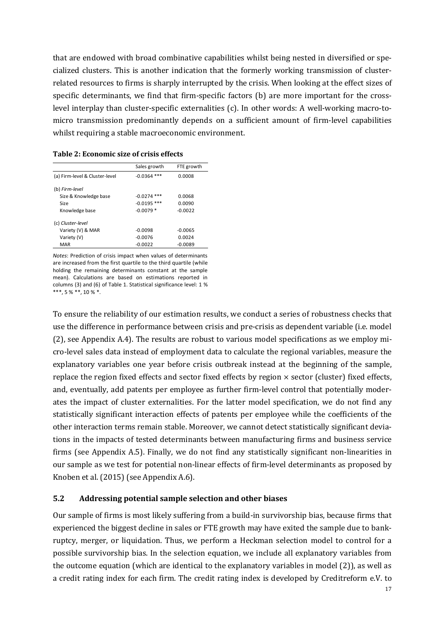that are endowed with broad combinative capabilities whilst being nested in diversified or specialized clusters. This is another indication that the formerly working transmission of clusterrelated resources to firms is sharply interrupted by the crisis. When looking at the effect sizes of specific determinants, we find that firm-specific factors (b) are more important for the crosslevel interplay than cluster-specific externalities (c). In other words: A well-working macro-tomicro transmission predominantly depends on a sufficient amount of firm-level capabilities whilst requiring a stable macroeconomic environment.

|                                | Sales growth  | FTE growth |
|--------------------------------|---------------|------------|
| (a) Firm-level & Cluster-level | $-0.0364$ *** | 0.0008     |
| (b) Firm-level                 |               |            |
| Size & Knowledge base          | $-0.0274$ *** | 0.0068     |
| Size                           | $-0.0195$ *** | 0.0090     |
| Knowledge base                 | $-0.0079*$    | $-0.0022$  |
| (c) Cluster-level              |               |            |
| Variety (V) & MAR              | $-0.0098$     | $-0.0065$  |
| Variety (V)                    | $-0.0076$     | 0.0024     |
| <b>MAR</b>                     | $-0.0022$     | $-0.0089$  |
|                                |               |            |

#### **Table 2: Economic size of crisis effects**

*Notes*: Prediction of crisis impact when values of determinants are increased from the first quartile to the third quartile (while holding the remaining determinants constant at the sample mean). Calculations are based on estimations reported in columns (3) and (6) of Table 1. Statistical significance level: 1 % \*\*\*, 5 % \*\*, 10 % \*.

To ensure the reliability of our estimation results, we conduct a series of robustness checks that use the difference in performance between crisis and pre-crisis as dependent variable (i.e. model (2), see Appendix A.4). The results are robust to various model specifications as we employ micro-level sales data instead of employment data to calculate the regional variables, measure the explanatory variables one year before crisis outbreak instead at the beginning of the sample, replace the region fixed effects and sector fixed effects by region  $\times$  sector (cluster) fixed effects, and, eventually, add patents per employee as further firm-level control that potentially moderates the impact of cluster externalities. For the latter model specification, we do not find any statistically significant interaction effects of patents per employee while the coefficients of the other interaction terms remain stable. Moreover, we cannot detect statistically significant deviations in the impacts of tested determinants between manufacturing firms and business service firms (see Appendix A.5). Finally, we do not find any statistically significant non-linearities in our sample as we test for potential non-linear effects of firm-level determinants as proposed by Knoben et al. (2015) (see Appendix A.6).

### <span id="page-17-0"></span>**5.2 Addressing potential sample selection and other biases**

Our sample of firms is most likely suffering from a build-in survivorship bias, because firms that experienced the biggest decline in sales or FTE growth may have exited the sample due to bankruptcy, merger, or liquidation. Thus, we perform a Heckman selection model to control for a possible survivorship bias. In the selection equation, we include all explanatory variables from the outcome equation (which are identical to the explanatory variables in model (2)), as well as a credit rating index for each firm. The credit rating index is developed by Creditreform e.V. to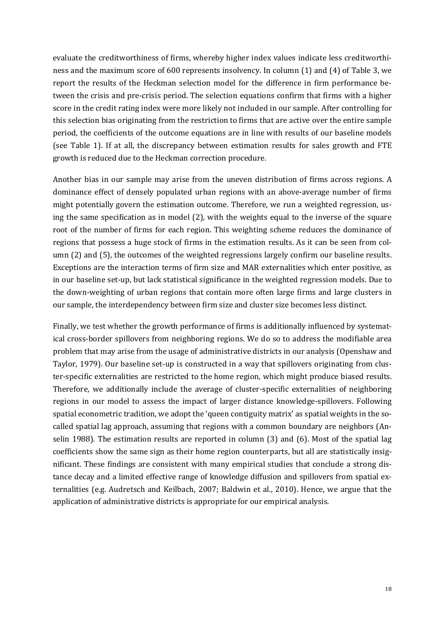evaluate the creditworthiness of firms, whereby higher index values indicate less creditworthiness and the maximum score of 600 represents insolvency. In column (1) and (4) of Table 3, we report the results of the Heckman selection model for the difference in firm performance between the crisis and pre-crisis period. The selection equations confirm that firms with a higher score in the credit rating index were more likely not included in our sample. After controlling for this selection bias originating from the restriction to firms that are active over the entire sample period, the coefficients of the outcome equations are in line with results of our baseline models (see Table 1). If at all, the discrepancy between estimation results for sales growth and FTE growth is reduced due to the Heckman correction procedure.

Another bias in our sample may arise from the uneven distribution of firms across regions. A dominance effect of densely populated urban regions with an above-average number of firms might potentially govern the estimation outcome. Therefore, we run a weighted regression, using the same specification as in model (2), with the weights equal to the inverse of the square root of the number of firms for each region. This weighting scheme reduces the dominance of regions that possess a huge stock of firms in the estimation results. As it can be seen from column (2) and (5), the outcomes of the weighted regressions largely confirm our baseline results. Exceptions are the interaction terms of firm size and MAR externalities which enter positive, as in our baseline set-up, but lack statistical significance in the weighted regression models. Due to the down-weighting of urban regions that contain more often large firms and large clusters in our sample, the interdependency between firm size and cluster size becomes less distinct.

Finally, we test whether the growth performance of firms is additionally influenced by systematical cross-border spillovers from neighboring regions. We do so to address the modifiable area problem that may arise from the usage of administrative districts in our analysis (Openshaw and Taylor, 1979). Our baseline set-up is constructed in a way that spillovers originating from cluster-specific externalities are restricted to the home region, which might produce biased results. Therefore, we additionally include the average of cluster-specific externalities of neighboring regions in our model to assess the impact of larger distance knowledge-spillovers. Following spatial econometric tradition, we adopt the 'queen contiguity matrix' as spatial weights in the socalled spatial lag approach, assuming that regions with a common boundary are neighbors (Anselin 1988). The estimation results are reported in column (3) and (6). Most of the spatial lag coefficients show the same sign as their home region counterparts, but all are statistically insignificant. These findings are consistent with many empirical studies that conclude a strong distance decay and a limited effective range of knowledge diffusion and spillovers from spatial externalities (e.g. Audretsch and Keilbach, 2007; Baldwin et al., 2010). Hence, we argue that the application of administrative districts is appropriate for our empirical analysis.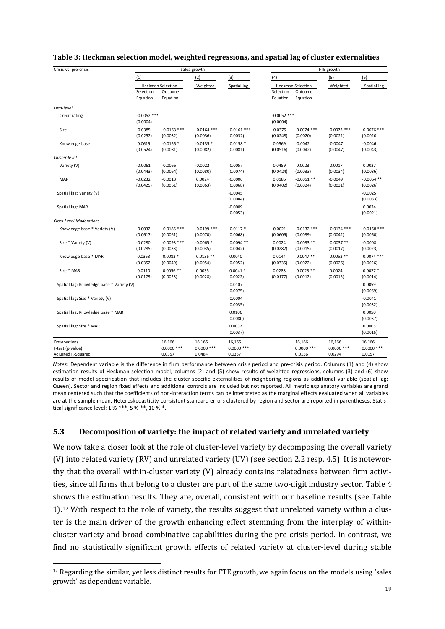| Crisis vs. pre-crisis                                  |                           |                                                 | Sales growth                     |                                  |                           |                                                 | FTE growth                       |                                  |
|--------------------------------------------------------|---------------------------|-------------------------------------------------|----------------------------------|----------------------------------|---------------------------|-------------------------------------------------|----------------------------------|----------------------------------|
|                                                        | (1)                       |                                                 | (2)                              | (3)                              | (4)                       |                                                 | (5)                              | (6)                              |
|                                                        | Selection<br>Equation     | <b>Heckman Selection</b><br>Outcome<br>Equation | Weighted                         | Spatial lag                      | Selection<br>Equation     | <b>Heckman Selection</b><br>Outcome<br>Equation | Weighted                         | Spatial lag                      |
| Firm-level                                             |                           |                                                 |                                  |                                  |                           |                                                 |                                  |                                  |
| Credit rating                                          | $-0.0052$ ***<br>(0.0004) |                                                 |                                  |                                  | $-0.0052$ ***<br>(0.0004) |                                                 |                                  |                                  |
| Size                                                   | $-0.0385$<br>(0.0252)     | $-0.0163$ ***<br>(0.0032)                       | $-0.0164$ ***<br>(0.0036)        | $-0.0161$ ***<br>(0.0032)        | $-0.0375$<br>(0.0248)     | $0.0074$ ***<br>(0.0020)                        | $0.0073$ ***<br>(0.0021)         | $0.0076$ ***<br>(0.0020)         |
| Knowledge base                                         | 0.0619<br>(0.0524)        | $-0.0155*$<br>(0.0081)                          | $-0.0135*$<br>(0.0082)           | $-0.0158*$<br>(0.0081)           | 0.0569<br>(0.0516)        | $-0.0042$<br>(0.0042)                           | $-0.0047$<br>(0.0047)            | $-0.0046$<br>(0.0043)            |
| Cluster-level                                          |                           |                                                 |                                  |                                  |                           |                                                 |                                  |                                  |
| Variety (V)                                            | $-0.0061$<br>(0.0443)     | $-0.0066$<br>(0.0064)                           | $-0.0022$<br>(0.0080)            | $-0.0057$<br>(0.0074)            | 0.0459<br>(0.0424)        | 0.0023<br>(0.0033)                              | 0.0017<br>(0.0034)               | 0.0027<br>(0.0036)               |
| <b>MAR</b>                                             | $-0.0232$<br>(0.0425)     | $-0.0013$<br>(0.0061)                           | 0.0024<br>(0.0063)               | $-0.0006$<br>(0.0068)            | 0.0186<br>(0.0402)        | $-0.0051$ **<br>(0.0024)                        | $-0.0049$<br>(0.0031)            | $-0.0064$ **<br>(0.0026)         |
| Spatial lag: Variety (V)                               |                           |                                                 |                                  | $-0.0045$<br>(0.0084)            |                           |                                                 |                                  | $-0.0025$<br>(0.0033)            |
| Spatial lag: MAR                                       |                           |                                                 |                                  | $-0.0009$<br>(0.0053)            |                           |                                                 |                                  | 0.0024<br>(0.0021)               |
| <b>Cross-Level Moderations</b>                         |                           |                                                 |                                  |                                  |                           |                                                 |                                  |                                  |
| Knowledge base * Variety (V)                           | $-0.0032$<br>(0.0617)     | $-0.0185$ ***<br>(0.0061)                       | $-0.0199$ ***<br>(0.0070)        | $-0.0117*$<br>(0.0068)           | $-0.0021$<br>(0.0606)     | $-0.0132$ ***<br>(0.0039)                       | $-0.0134$ ***<br>(0.0042)        | $-0.0158$ ***<br>(0.0050)        |
| Size * Variety (V)                                     | $-0.0280$<br>(0.0285)     | $-0.0093$ ***<br>(0.0033)                       | $-0.0065$ *<br>(0.0035)          | $-0.0094$ **<br>(0.0042)         | 0.0024<br>(0.0282)        | $-0.0033$ **<br>(0.0015)                        | $-0.0037**$<br>(0.0017)          | $-0.0008$<br>(0.0023)            |
| Knowledge base * MAR                                   | 0.0353<br>(0.0352)        | $0.0083*$<br>(0.0049)                           | $0.0136**$<br>(0.0054)           | 0.0040<br>(0.0052)               | 0.0144<br>(0.0335)        | $0.0047**$<br>(0.0022)                          | $0.0053$ **<br>(0.0026)          | $0.0074$ ***<br>(0.0026)         |
| Size * MAR                                             | 0.0110<br>(0.0179)        | $0.0056**$<br>(0.0023)                          | 0.0035<br>(0.0028)               | $0.0041*$<br>(0.0022)            | 0.0288<br>(0.0177)        | $0.0023$ **<br>(0.0012)                         | 0.0024<br>(0.0015)               | $0.0027*$<br>(0.0014)            |
| Spatial lag: Knowledge base * Variety (V)              |                           |                                                 |                                  | $-0.0107$<br>(0.0075)            |                           |                                                 |                                  | 0.0059<br>(0.0069)               |
| Spatial lag: Size * Variety (V)                        |                           |                                                 |                                  | $-0.0004$<br>(0.0035)            |                           |                                                 |                                  | $-0.0041$<br>(0.0032)            |
| Spatial lag: Knowledge base * MAR                      |                           |                                                 |                                  | 0.0106<br>(0.0080)               |                           |                                                 |                                  | 0.0050<br>(0.0037)               |
| Spatial lag: Size * MAR                                |                           |                                                 |                                  | 0.0032<br>(0.0037)               |                           |                                                 |                                  | 0.0005<br>(0.0015)               |
| Observations<br>F-test (p-value)<br>Adjusted R-Squared |                           | 16,166<br>$0.0000$ ***<br>0.0357                | 16,166<br>$0.0000$ ***<br>0.0484 | 16,166<br>$0.0000$ ***<br>0.0357 |                           | 16,166<br>$0.0000$ ***<br>0.0156                | 16,166<br>$0.0000$ ***<br>0.0294 | 16,166<br>$0.0000$ ***<br>0.0157 |

#### **Table 3: Heckman selection model, weighted regressions, and spatial lag of cluster externalities**

*Notes*: Dependent variable is the difference in firm performance between crisis period and pre-crisis period. Columns (1) and (4) show estimation results of Heckman selection model, columns (2) and (5) show results of weighted regressions, columns (3) and (6) show results of model specification that includes the cluster-specific externalities of neighboring regions as additional variable (spatial lag: Queen). Sector and region fixed effects and additional controls are included but not reported. All metric explanatory variables are grand mean centered such that the coefficients of non-interaction terms can be interpreted as the marginal effects evaluated when all variables are at the sample mean. Heteroskedasticity-consistent standard errors clustered by region and sector are reported in parentheses. Statistical significance level: 1 % \*\*\*, 5 % \*\*, 10 % \*.

#### <span id="page-19-0"></span>**5.3 Decomposition of variety: the impact of related variety and unrelated variety**

We now take a closer look at the role of cluster-level variety by decomposing the overall variety (V) into related variety (RV) and unrelated variety (UV) (see section 2.2 resp. 4.5). It is noteworthy that the overall within-cluster variety (V) already contains relatedness between firm activities, since all firms that belong to a cluster are part of the same two-digit industry sector. Table 4 shows the estimation results. They are, overall, consistent with our baseline results (see Table 1).[12](#page-19-1) With respect to the role of variety, the results suggest that unrelated variety within a cluster is the main driver of the growth enhancing effect stemming from the interplay of withincluster variety and broad combinative capabilities during the pre-crisis period. In contrast, we find no statistically significant growth effects of related variety at cluster-level during stable

<span id="page-19-1"></span><sup>&</sup>lt;sup>12</sup> Regarding the similar, yet less distinct results for FTE growth, we again focus on the models using 'sales growth' as dependent variable.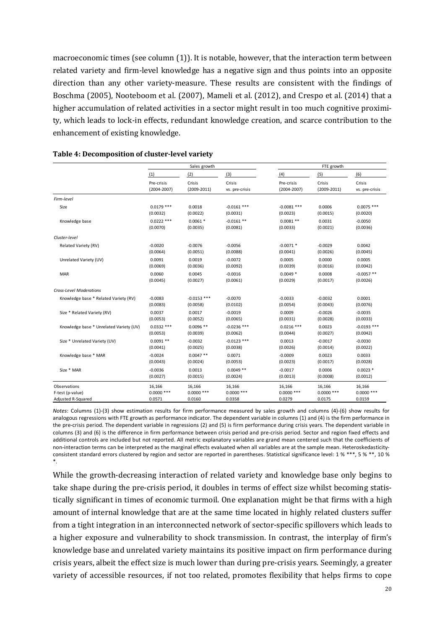macroeconomic times (see column (1)). It is notable, however, that the interaction term between related variety and firm-level knowledge has a negative sign and thus points into an opposite direction than any other variety-measure. These results are consistent with the findings of Boschma (2005), Nooteboom et al. (2007), Mameli et al. (2012), and Crespo et al. (2014) that a higher accumulation of related activities in a sector might result in too much cognitive proximity, which leads to lock-in effects, redundant knowledge creation, and scarce contribution to the enhancement of existing knowledge.

|                                         |                 | Sales growth    |                | FTE growth      |                 |                |  |
|-----------------------------------------|-----------------|-----------------|----------------|-----------------|-----------------|----------------|--|
|                                         | (1)             | (2)             | (3)            | (4)             | (5)             | (6)            |  |
|                                         | Pre-crisis      | Crisis          | Crisis         | Pre-crisis      | Crisis          | Crisis         |  |
|                                         | $(2004 - 2007)$ | $(2009 - 2011)$ | vs. pre-crisis | $(2004 - 2007)$ | $(2009 - 2011)$ | vs. pre-crisis |  |
| Firm-level                              |                 |                 |                |                 |                 |                |  |
| Size                                    | $0.0179$ ***    | 0.0018          | $-0.0161$ ***  | $-0.0081$ ***   | 0.0006          | $0.0075$ ***   |  |
|                                         | (0.0032)        | (0.0022)        | (0.0031)       | (0.0023)        | (0.0015)        | (0.0020)       |  |
| Knowledge base                          | $0.0222$ ***    | $0.0061*$       | $-0.0161$ **   | $0.0081**$      | 0.0031          | $-0.0050$      |  |
|                                         | (0.0070)        | (0.0035)        | (0.0081)       | (0.0033)        | (0.0021)        | (0.0036)       |  |
| Cluster-level                           |                 |                 |                |                 |                 |                |  |
| Related Variety (RV)                    | $-0.0020$       | $-0.0076$       | $-0.0056$      | $-0.0071$ *     | $-0.0029$       | 0.0042         |  |
|                                         | (0.0064)        | (0.0051)        | (0.0088)       | (0.0041)        | (0.0026)        | (0.0045)       |  |
| Unrelated Variety (UV)                  | 0.0091          | 0.0019          | $-0.0072$      | 0.0005          | 0.0000          | 0.0005         |  |
|                                         | (0.0069)        | (0.0036)        | (0.0092)       | (0.0039)        | (0.0016)        | (0.0042)       |  |
| <b>MAR</b>                              | 0.0060          | 0.0045          | $-0.0016$      | $0.0049*$       | 0.0008          | $-0.0057$ **   |  |
|                                         | (0.0045)        | (0.0027)        | (0.0061)       | (0.0029)        | (0.0017)        | (0.0026)       |  |
| <b>Cross-Level Moderations</b>          |                 |                 |                |                 |                 |                |  |
| Knowledge base * Related Variety (RV)   | $-0.0083$       | $-0.0153$ ***   | $-0.0070$      | $-0.0033$       | $-0.0032$       | 0.0001         |  |
|                                         | (0.0083)        | (0.0058)        | (0.0102)       | (0.0054)        | (0.0043)        | (0.0076)       |  |
| Size * Related Variety (RV)             | 0.0037          | 0.0017          | $-0.0019$      | 0.0009          | $-0.0026$       | $-0.0035$      |  |
|                                         | (0.0053)        | (0.0052)        | (0.0065)       | (0.0031)        | (0.0028)        | (0.0033)       |  |
| Knowledge base * Unrelated Variety (UV) | $0.0332$ ***    | $0.0096$ **     | $-0.0236$ ***  | $0.0216$ ***    | 0.0023          | $-0.0193$ ***  |  |
|                                         | (0.0053)        | (0.0039)        | (0.0062)       | (0.0044)        | (0.0027)        | (0.0042)       |  |
| Size * Unrelated Variety (UV)           | $0.0091**$      | $-0.0032$       | $-0.0123$ ***  | 0.0013          | $-0.0017$       | $-0.0030$      |  |
|                                         | (0.0041)        | (0.0025)        | (0.0038)       | (0.0026)        | (0.0014)        | (0.0022)       |  |
| Knowledge base * MAR                    | $-0.0024$       | $0.0047**$      | 0.0071         | $-0.0009$       | 0.0023          | 0.0033         |  |
|                                         | (0.0043)        | (0.0024)        | (0.0053)       | (0.0023)        | (0.0017)        | (0.0028)       |  |
| Size * MAR                              | $-0.0036$       | 0.0013          | $0.0049$ **    | $-0.0017$       | 0.0006          | $0.0023$ *     |  |
|                                         | (0.0027)        | (0.0015)        | (0.0024)       | (0.0013)        | (0.0008)        | (0.0012)       |  |
| Observations                            | 16,166          | 16,166          | 16,166         | 16,166          | 16,166          | 16,166         |  |
| F-test (p-value)                        | $0.0000$ ***    | $0.0000$ ***    | $0.0000$ ***   | $0.0000$ ***    | $0.0000$ ***    | $0.0000$ ***   |  |
| Adjusted R-Squared                      | 0.0571          | 0.0160          | 0.0358         | 0.0279          | 0.0175          | 0.0159         |  |

**Table 4: Decomposition of cluster-level variety**

*Notes*: Columns (1)-(3) show estimation results for firm performance measured by sales growth and columns (4)-(6) show results for analogous regressions with FTE growth as performance indicator. The dependent variable in columns (1) and (4) is the firm performance in the pre-crisis period. The dependent variable in regressions (2) and (5) is firm performance during crisis years. The dependent variable in columns (3) and (6) is the difference in firm performance between crisis period and pre-crisis period. Sector and region fixed effects and additional controls are included but not reported. All metric explanatory variables are grand mean centered such that the coefficients of non-interaction terms can be interpreted as the marginal effects evaluated when all variables are at the sample mean. Heteroskedasticityconsistent standard errors clustered by region and sector are reported in parentheses. Statistical significance level: 1 % \*\*\*, 5 % \*\*, 10 % \*.

While the growth-decreasing interaction of related variety and knowledge base only begins to take shape during the pre-crisis period, it doubles in terms of effect size whilst becoming statistically significant in times of economic turmoil. One explanation might be that firms with a high amount of internal knowledge that are at the same time located in highly related clusters suffer from a tight integration in an interconnected network of sector-specific spillovers which leads to a higher exposure and vulnerability to shock transmission. In contrast, the interplay of firm's knowledge base and unrelated variety maintains its positive impact on firm performance during crisis years, albeit the effect size is much lower than during pre-crisis years. Seemingly, a greater variety of accessible resources, if not too related, promotes flexibility that helps firms to cope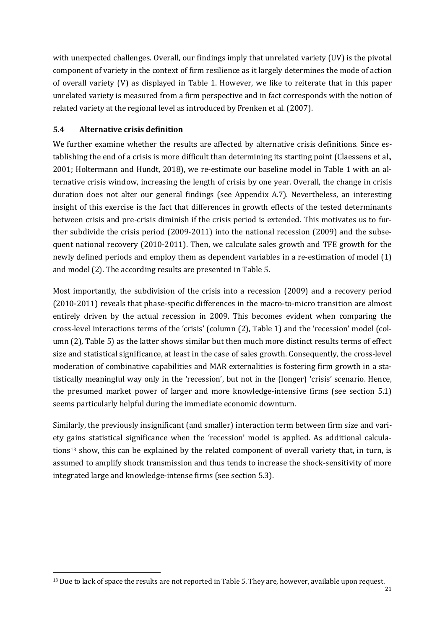with unexpected challenges. Overall, our findings imply that unrelated variety (UV) is the pivotal component of variety in the context of firm resilience as it largely determines the mode of action of overall variety (V) as displayed in Table 1. However, we like to reiterate that in this paper unrelated variety is measured from a firm perspective and in fact corresponds with the notion of related variety at the regional level as introduced by Frenken et al. (2007).

## <span id="page-21-0"></span>**5.4 Alternative crisis definition**

 $\overline{a}$ 

We further examine whether the results are affected by alternative crisis definitions. Since establishing the end of a crisis is more difficult than determining its starting point (Claessens et al., 2001; Holtermann and Hundt, 2018), we re-estimate our baseline model in Table 1 with an alternative crisis window, increasing the length of crisis by one year. Overall, the change in crisis duration does not alter our general findings (see Appendix A.7). Nevertheless, an interesting insight of this exercise is the fact that differences in growth effects of the tested determinants between crisis and pre-crisis diminish if the crisis period is extended. This motivates us to further subdivide the crisis period (2009-2011) into the national recession (2009) and the subsequent national recovery (2010-2011). Then, we calculate sales growth and TFE growth for the newly defined periods and employ them as dependent variables in a re-estimation of model (1) and model (2). The according results are presented in Table 5.

Most importantly, the subdivision of the crisis into a recession (2009) and a recovery period (2010-2011) reveals that phase-specific differences in the macro-to-micro transition are almost entirely driven by the actual recession in 2009. This becomes evident when comparing the cross-level interactions terms of the 'crisis' (column (2), Table 1) and the 'recession' model (column (2), Table 5) as the latter shows similar but then much more distinct results terms of effect size and statistical significance, at least in the case of sales growth. Consequently, the cross-level moderation of combinative capabilities and MAR externalities is fostering firm growth in a statistically meaningful way only in the 'recession', but not in the (longer) 'crisis' scenario. Hence, the presumed market power of larger and more knowledge-intensive firms (see section 5.1) seems particularly helpful during the immediate economic downturn.

Similarly, the previously insignificant (and smaller) interaction term between firm size and variety gains statistical significance when the 'recession' model is applied. As additional calculations[13](#page-21-1) show, this can be explained by the related component of overall variety that, in turn, is assumed to amplify shock transmission and thus tends to increase the shock-sensitivity of more integrated large and knowledge-intense firms (see section 5.3).

<span id="page-21-1"></span><sup>&</sup>lt;sup>13</sup> Due to lack of space the results are not reported in Table 5. They are, however, available upon request.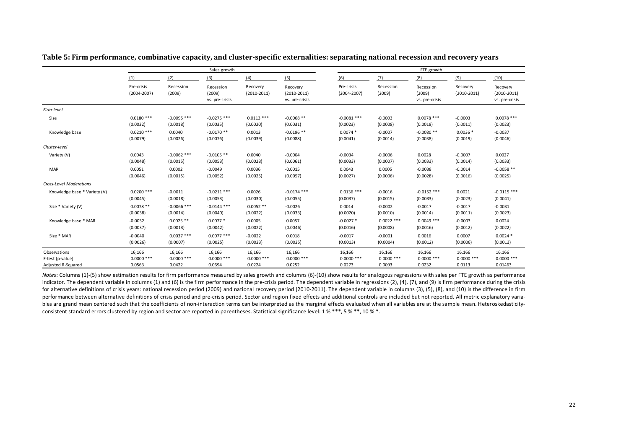|                                |                               |                     | Sales growth                          |                             |                                               | FTE growth                    |                     |                                       |                           |                                             |
|--------------------------------|-------------------------------|---------------------|---------------------------------------|-----------------------------|-----------------------------------------------|-------------------------------|---------------------|---------------------------------------|---------------------------|---------------------------------------------|
|                                | (1)                           | (2)                 | (3)                                   | (4)                         | (5)                                           | (6)                           | (7)                 | (8)                                   | (9)                       | (10)                                        |
|                                | Pre-crisis<br>$(2004 - 2007)$ | Recession<br>(2009) | Recession<br>(2009)<br>vs. pre-crisis | Recovery<br>$(2010 - 2011)$ | Recovery<br>$(2010 - 2011)$<br>vs. pre-crisis | Pre-crisis<br>$(2004 - 2007)$ | Recession<br>(2009) | Recession<br>(2009)<br>vs. pre-crisis | Recovery<br>$(2010-2011)$ | Recovery<br>$(2010-2011)$<br>vs. pre-crisis |
| Firm-level                     |                               |                     |                                       |                             |                                               |                               |                     |                                       |                           |                                             |
| Size                           | $0.0180$ ***                  | $-0.0095$ ***       | $-0.0275$ ***                         | $0.0113$ ***                | $-0.0068$ **                                  | $-0.0081$ ***                 | $-0.0003$           | $0.0078$ ***                          | $-0.0003$                 | $0.0078$ ***                                |
|                                | (0.0032)                      | (0.0018)            | (0.0035)                              | (0.0020)                    | (0.0031)                                      | (0.0023)                      | (0.0008)            | (0.0018)                              | (0.0011)                  | (0.0023)                                    |
| Knowledge base                 | $0.0210$ ***                  | 0.0040              | $-0.0170**$                           | 0.0013                      | $-0.0196$ **                                  | $0.0074*$                     | $-0.0007$           | $-0.0080**$                           | $0.0036*$                 | $-0.0037$                                   |
|                                | (0.0079)                      | (0.0026)            | (0.0076)                              | (0.0039)                    | (0.0088)                                      | (0.0041)                      | (0.0014)            | (0.0038)                              | (0.0019)                  | (0.0046)                                    |
| Cluster-level                  |                               |                     |                                       |                             |                                               |                               |                     |                                       |                           |                                             |
| Variety (V)                    | 0.0043                        | $-0.0062$ ***       | $-0.0105$ **                          | 0.0040                      | $-0.0004$                                     | $-0.0034$                     | $-0.0006$           | 0.0028                                | $-0.0007$                 | 0.0027                                      |
|                                | (0.0048)                      | (0.0015)            | (0.0053)                              | (0.0028)                    | (0.0061)                                      | (0.0033)                      | (0.0007)            | (0.0033)                              | (0.0014)                  | (0.0033)                                    |
| <b>MAR</b>                     | 0.0051                        | 0.0002              | $-0.0049$                             | 0.0036                      | $-0.0015$                                     | 0.0043                        | 0.0005              | $-0.0038$                             | $-0.0014$                 | $-0.0058$ **                                |
|                                | (0.0046)                      | (0.0015)            | (0.0052)                              | (0.0025)                    | (0.0057)                                      | (0.0027)                      | (0.0006)            | (0.0028)                              | (0.0016)                  | (0.0025)                                    |
| <b>Cross-Level Moderations</b> |                               |                     |                                       |                             |                                               |                               |                     |                                       |                           |                                             |
| Knowledge base * Variety (V)   | $0.0200$ ***                  | $-0.0011$           | $-0.0211$ ***                         | 0.0026                      | $-0.0174$ ***                                 | $0.0136$ ***                  | $-0.0016$           | $-0.0152$ ***                         | 0.0021                    | $-0.0115$ ***                               |
|                                | (0.0045)                      | (0.0018)            | (0.0053)                              | (0.0030)                    | (0.0055)                                      | (0.0037)                      | (0.0015)            | (0.0033)                              | (0.0023)                  | (0.0041)                                    |
| Size * Variety (V)             | $0.0078**$                    | $-0.0066$ ***       | $-0.0144$ ***                         | $0.0052**$                  | $-0.0026$                                     | 0.0014                        | $-0.0002$           | $-0.0017$                             | $-0.0017$                 | $-0.0031$                                   |
|                                | (0.0038)                      | (0.0014)            | (0.0040)                              | (0.0022)                    | (0.0033)                                      | (0.0020)                      | (0.0010)            | (0.0014)                              | (0.0011)                  | (0.0023)                                    |
| Knowledge base * MAR           | $-0.0052$                     | $0.0025$ **         | $0.0077*$                             | 0.0005                      | 0.0057                                        | $-0.0027$ *                   | $0.0022$ ***        | $0.0049$ ***                          | $-0.0003$                 | 0.0024                                      |
|                                | (0.0037)                      | (0.0013)            | (0.0042)                              | (0.0022)                    | (0.0046)                                      | (0.0016)                      | (0.0008)            | (0.0016)                              | (0.0012)                  | (0.0022)                                    |
| Size * MAR                     | $-0.0040$                     | $0.0037$ ***        | $0.0077$ ***                          | $-0.0022$                   | 0.0018                                        | $-0.0017$                     | $-0.0001$           | 0.0016                                | 0.0007                    | $0.0024*$                                   |
|                                | (0.0026)                      | (0.0007)            | (0.0025)                              | (0.0023)                    | (0.0025)                                      | (0.0013)                      | (0.0004)            | (0.0012)                              | (0.0006)                  | (0.0013)                                    |
| Observations                   | 16,166                        | 16,166              | 16,166                                | 16,166                      | 16,166                                        | 16,166                        | 16,166              | 16,166                                | 16,166                    | 16,166                                      |
| F-test (p-value)               | $0.0000$ ***                  | $0.0000$ ***        | $0.0000$ ***                          | $0.0000$ ***                | $0.0000$ ***                                  | $0.0000$ ***                  | $0.0000$ ***        | $0.0000$ ***                          | $0.0000$ ***              | $0.0000$ ***                                |
| Adjusted R-Squared             | 0.0563                        | 0.0422              | 0.0694                                | 0.0224                      | 0.0252                                        | 0.0273                        | 0.0093              | 0.0232                                | 0.0113                    | 0.01463                                     |

**Table 5: Firm performance, combinative capacity, and cluster-specific externalities: separating national recession and recovery years**

*Notes*: Columns (1)-(5) show estimation results for firm performance measured by sales growth and columns (6)-(10) show results for analogous regressions with sales per FTE growth as performance indicator. The dependent variable in columns (1) and (6) is the firm performance in the pre-crisis period. The dependent variable in regressions (2), (4), (7), and (9) is firm performance during the crisis for alternative definitions of crisis years: national recession period (2009) and national recovery period (2010-2011). The dependent variable in columns (3), (5), (8), and (10) is the difference in firm performance between alternative definitions of crisis period and pre-crisis period. Sector and region fixed effects and additional controls are included but not reported. All metric explanatory variables are grand mean centered such that the coefficients of non-interaction terms can be interpreted as the marginal effects evaluated when all variables are at the sample mean. Heteroskedasticityconsistent standard errors clustered by region and sector are reported in parentheses. Statistical significance level: 1 % \*\*\*, 5 % \*\*, 10 % \*.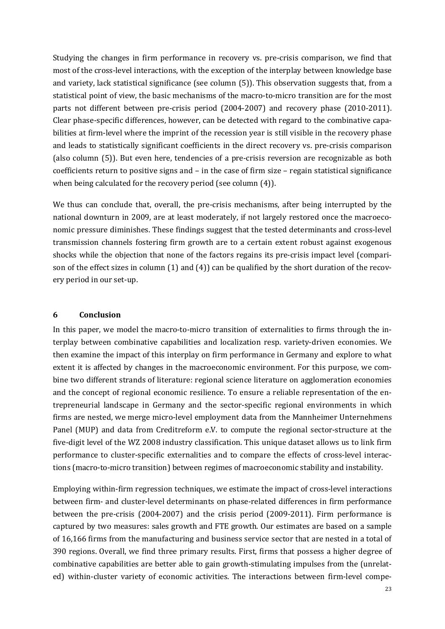Studying the changes in firm performance in recovery vs. pre-crisis comparison, we find that most of the cross-level interactions, with the exception of the interplay between knowledge base and variety, lack statistical significance (see column (5)). This observation suggests that, from a statistical point of view, the basic mechanisms of the macro-to-micro transition are for the most parts not different between pre-crisis period (2004-2007) and recovery phase (2010-2011). Clear phase-specific differences, however, can be detected with regard to the combinative capabilities at firm-level where the imprint of the recession year is still visible in the recovery phase and leads to statistically significant coefficients in the direct recovery vs. pre-crisis comparison (also column (5)). But even here, tendencies of a pre-crisis reversion are recognizable as both coefficients return to positive signs and – in the case of firm size – regain statistical significance when being calculated for the recovery period (see column (4)).

We thus can conclude that, overall, the pre-crisis mechanisms, after being interrupted by the national downturn in 2009, are at least moderately, if not largely restored once the macroeconomic pressure diminishes. These findings suggest that the tested determinants and cross-level transmission channels fostering firm growth are to a certain extent robust against exogenous shocks while the objection that none of the factors regains its pre-crisis impact level (comparison of the effect sizes in column (1) and (4)) can be qualified by the short duration of the recovery period in our set-up.

### <span id="page-23-0"></span>**6 Conclusion**

In this paper, we model the macro-to-micro transition of externalities to firms through the interplay between combinative capabilities and localization resp. variety-driven economies. We then examine the impact of this interplay on firm performance in Germany and explore to what extent it is affected by changes in the macroeconomic environment. For this purpose, we combine two different strands of literature: regional science literature on agglomeration economies and the concept of regional economic resilience. To ensure a reliable representation of the entrepreneurial landscape in Germany and the sector-specific regional environments in which firms are nested, we merge micro-level employment data from the Mannheimer Unternehmens Panel (MUP) and data from Creditreform e.V. to compute the regional sector-structure at the five-digit level of the WZ 2008 industry classification. This unique dataset allows us to link firm performance to cluster-specific externalities and to compare the effects of cross-level interactions (macro-to-micro transition) between regimes of macroeconomic stability and instability.

Employing within-firm regression techniques, we estimate the impact of cross-level interactions between firm- and cluster-level determinants on phase-related differences in firm performance between the pre-crisis (2004-2007) and the crisis period (2009-2011). Firm performance is captured by two measures: sales growth and FTE growth. Our estimates are based on a sample of 16,166 firms from the manufacturing and business service sector that are nested in a total of 390 regions. Overall, we find three primary results. First, firms that possess a higher degree of combinative capabilities are better able to gain growth-stimulating impulses from the (unrelated) within-cluster variety of economic activities. The interactions between firm-level compe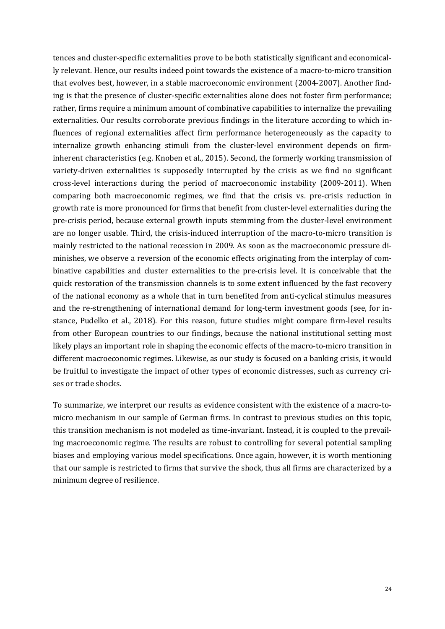tences and cluster-specific externalities prove to be both statistically significant and economically relevant. Hence, our results indeed point towards the existence of a macro-to-micro transition that evolves best, however, in a stable macroeconomic environment (2004-2007). Another finding is that the presence of cluster-specific externalities alone does not foster firm performance; rather, firms require a minimum amount of combinative capabilities to internalize the prevailing externalities. Our results corroborate previous findings in the literature according to which influences of regional externalities affect firm performance heterogeneously as the capacity to internalize growth enhancing stimuli from the cluster-level environment depends on firminherent characteristics (e.g. Knoben et al., 2015). Second, the formerly working transmission of variety-driven externalities is supposedly interrupted by the crisis as we find no significant cross-level interactions during the period of macroeconomic instability (2009-2011). When comparing both macroeconomic regimes, we find that the crisis vs. pre-crisis reduction in growth rate is more pronounced for firms that benefit from cluster-level externalities during the pre-crisis period, because external growth inputs stemming from the cluster-level environment are no longer usable. Third, the crisis-induced interruption of the macro-to-micro transition is mainly restricted to the national recession in 2009. As soon as the macroeconomic pressure diminishes, we observe a reversion of the economic effects originating from the interplay of combinative capabilities and cluster externalities to the pre-crisis level. It is conceivable that the quick restoration of the transmission channels is to some extent influenced by the fast recovery of the national economy as a whole that in turn benefited from anti-cyclical stimulus measures and the re-strengthening of international demand for long-term investment goods (see, for instance, Pudelko et al., 2018). For this reason, future studies might compare firm-level results from other European countries to our findings, because the national institutional setting most likely plays an important role in shaping the economic effects of the macro-to-micro transition in different macroeconomic regimes. Likewise, as our study is focused on a banking crisis, it would be fruitful to investigate the impact of other types of economic distresses, such as currency crises or trade shocks.

To summarize, we interpret our results as evidence consistent with the existence of a macro-tomicro mechanism in our sample of German firms. In contrast to previous studies on this topic, this transition mechanism is not modeled as time-invariant. Instead, it is coupled to the prevailing macroeconomic regime. The results are robust to controlling for several potential sampling biases and employing various model specifications. Once again, however, it is worth mentioning that our sample is restricted to firms that survive the shock, thus all firms are characterized by a minimum degree of resilience.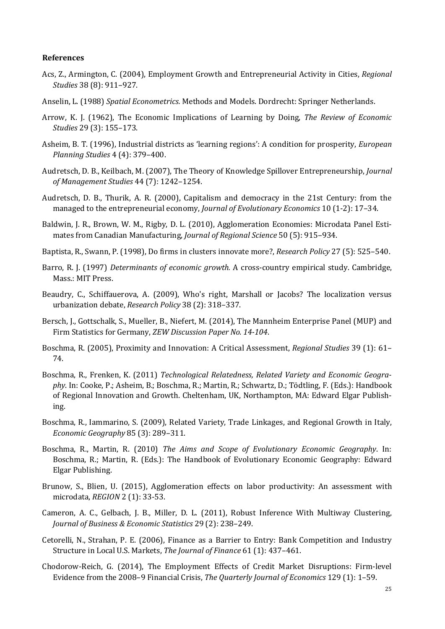#### <span id="page-25-0"></span>**References**

- Acs, Z., Armington, C. (2004), Employment Growth and Entrepreneurial Activity in Cities, *Regional Studies* 38 (8): 911–927.
- Anselin, L. (1988) *Spatial Econometrics.* Methods and Models. Dordrecht: Springer Netherlands.
- Arrow, K. J. (1962), The Economic Implications of Learning by Doing, *The Review of Economic Studies* 29 (3): 155–173.
- Asheim, B. T. (1996), Industrial districts as 'learning regions': A condition for prosperity, *European Planning Studies* 4 (4): 379–400.
- Audretsch, D. B., Keilbach, M. (2007), The Theory of Knowledge Spillover Entrepreneurship, *Journal of Management Studies* 44 (7): 1242–1254.
- Audretsch, D. B., Thurik, A. R. (2000), Capitalism and democracy in the 21st Century: from the managed to the entrepreneurial economy, *Journal of Evolutionary Economics* 10 (1-2): 17–34.
- Baldwin, J. R., Brown, W. M., Rigby, D. L. (2010), Agglomeration Economies: Microdata Panel Estimates from Canadian Manufacturing, *Journal of Regional Science* 50 (5): 915–934.
- Baptista, R., Swann, P. (1998), Do firms in clusters innovate more?, *Research Policy* 27 (5): 525–540.
- Barro, R. J. (1997) *Determinants of economic growth.* A cross-country empirical study. Cambridge, Mass.: MIT Press.
- Beaudry, C., Schiffauerova, A. (2009), Who's right, Marshall or Jacobs? The localization versus urbanization debate, *Research Policy* 38 (2): 318–337.
- Bersch, J., Gottschalk, S., Mueller, B., Niefert, M. (2014), The Mannheim Enterprise Panel (MUP) and Firm Statistics for Germany, *ZEW Discussion Paper No. 14-104*.
- Boschma, R. (2005), Proximity and Innovation: A Critical Assessment, *Regional Studies* 39 (1): 61– 74.
- Boschma, R., Frenken, K. (2011) *Technological Relatedness, Related Variety and Economic Geography*. In: Cooke, P.; Asheim, B.; Boschma, R.; Martin, R.; Schwartz, D.; Tödtling, F. (Eds.): Handbook of Regional Innovation and Growth. Cheltenham, UK, Northampton, MA: Edward Elgar Publishing.
- Boschma, R., Iammarino, S. (2009), Related Variety, Trade Linkages, and Regional Growth in Italy, *Economic Geography* 85 (3): 289–311.
- Boschma, R., Martin, R. (2010) *The Aims and Scope of Evolutionary Economic Geography*. In: Boschma, R.; Martin, R. (Eds.): The Handbook of Evolutionary Economic Geography: Edward Elgar Publishing.
- Brunow, S., Blien, U. (2015), Agglomeration effects on labor productivity: An assessment with microdata, *REGION* 2 (1): 33-53.
- Cameron, A. C., Gelbach, J. B., Miller, D. L. (2011), Robust Inference With Multiway Clustering, *Journal of Business & Economic Statistics* 29 (2): 238–249.
- Cetorelli, N., Strahan, P. E. (2006), Finance as a Barrier to Entry: Bank Competition and Industry Structure in Local U.S. Markets, *The Journal of Finance* 61 (1): 437–461.
- Chodorow-Reich, G. (2014), The Employment Effects of Credit Market Disruptions: Firm-level Evidence from the 2008–9 Financial Crisis, *The Quarterly Journal of Economics* 129 (1): 1–59.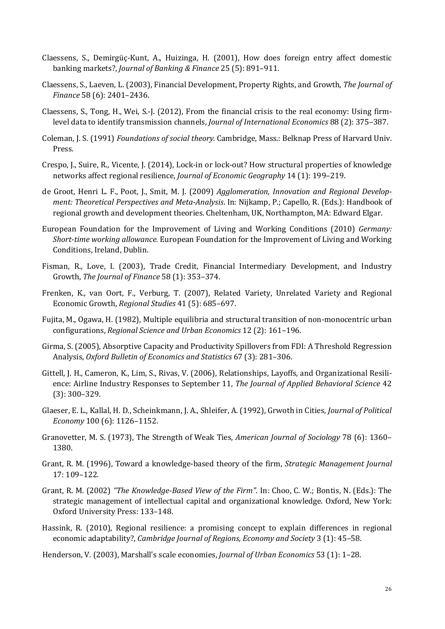- Claessens, S., Demirgüç-Kunt, A., Huizinga, H. (2001), How does foreign entry affect domestic banking markets?, *Journal of Banking & Finance* 25 (5): 891–911.
- Claessens, S., Laeven, L. (2003), Financial Development, Property Rights, and Growth, *The Journal of Finance* 58 (6): 2401–2436.
- Claessens, S., Tong, H., Wei, S.-J. (2012), From the financial crisis to the real economy: Using firmlevel data to identify transmission channels, *Journal of International Economics* 88 (2): 375–387.
- Coleman, J. S. (1991) *Foundations of social theory.* Cambridge, Mass.: Belknap Press of Harvard Univ. Press.
- Crespo, J., Suire, R., Vicente, J. (2014), Lock-in or lock-out? How structural properties of knowledge networks affect regional resilience, *Journal of Economic Geography* 14 (1): 199–219.
- de Groot, Henri L. F., Poot, J., Smit, M. J. (2009) *Agglomeration, Innovation and Regional Development: Theoretical Perspectives and Meta-Analysis*. In: Nijkamp, P.; Capello, R. (Eds.): Handbook of regional growth and development theories. Cheltenham, UK, Northampton, MA: Edward Elgar.
- European Foundation for the Improvement of Living and Working Conditions (2010) *Germany: Short-time working allowance.* European Foundation for the Improvement of Living and Working Conditions, Ireland, Dublin.
- Fisman, R., Love, I. (2003), Trade Credit, Financial Intermediary Development, and Industry Growth, *The Journal of Finance* 58 (1): 353–374.
- Frenken, K., van Oort, F., Verburg, T. (2007), Related Variety, Unrelated Variety and Regional Economic Growth, *Regional Studies* 41 (5): 685–697.
- Fujita, M., Ogawa, H. (1982), Multiple equilibria and structural transition of non-monocentric urban configurations, *Regional Science and Urban Economics* 12 (2): 161–196.
- Girma, S. (2005), Absorptive Capacity and Productivity Spillovers from FDI: A Threshold Regression Analysis, *Oxford Bulletin of Economics and Statistics* 67 (3): 281–306.
- Gittell, J. H., Cameron, K., Lim, S., Rivas, V. (2006), Relationships, Layoffs, and Organizational Resilience: Airline Industry Responses to September 11, *The Journal of Applied Behavioral Science* 42 (3): 300–329.
- Glaeser, E. L., Kallal, H. D., Scheinkmann, J. A., Shleifer, A. (1992), Grwoth in Cities, *Journal of Political Economy* 100 (6): 1126–1152.
- Granovetter, M. S. (1973), The Strength of Weak Ties, *American Journal of Sociology* 78 (6): 1360– 1380.
- Grant, R. M. (1996), Toward a knowledge-based theory of the firm, *Strategic Management Journal*  17: 109–122.
- Grant, R. M. (2002) *"The Knowledge-Based View of the Firm"*. In: Choo, C. W.; Bontis, N. (Eds.): The strategic management of intellectual capital and organizational knowledge. Oxford, New York: Oxford University Press: 133–148.
- Hassink, R. (2010), Regional resilience: a promising concept to explain differences in regional economic adaptability?, *Cambridge Journal of Regions, Economy and Society* 3 (1): 45–58.
- Henderson, V. (2003), Marshall's scale economies, *Journal of Urban Economics* 53 (1): 1–28.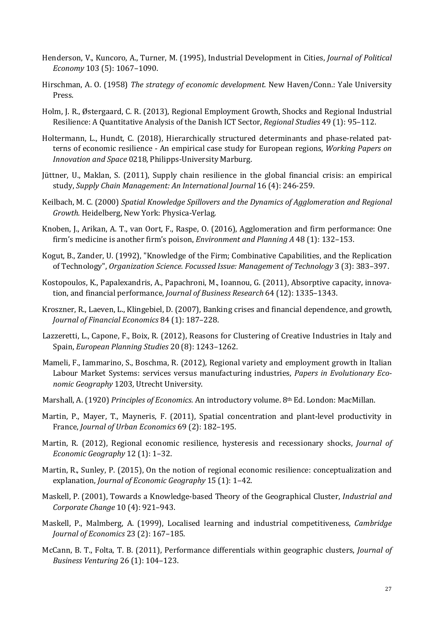- Henderson, V., Kuncoro, A., Turner, M. (1995), Industrial Development in Cities, *Journal of Political Economy* 103 (5): 1067–1090.
- Hirschman, A. O. (1958) *The strategy of economic development.* New Haven/Conn.: Yale University Press.
- Holm, J. R., Østergaard, C. R. (2013), Regional Employment Growth, Shocks and Regional Industrial Resilience: A Quantitative Analysis of the Danish ICT Sector, *Regional Studies* 49 (1): 95–112.
- Holtermann, L., Hundt, C. (2018), Hierarchically structured determinants and phase-related patterns of economic resilience - An empirical case study for European regions, *Working Papers on Innovation and Space* 0218, Philipps-University Marburg.
- Jüttner, U., Maklan, S. (2011), Supply chain resilience in the global financial crisis: an empirical study, *Supply Chain Management: An International Journal* 16 (4): 246-259.
- Keilbach, M. C. (2000) *Spatial Knowledge Spillovers and the Dynamics of Agglomeration and Regional Growth.* Heidelberg, New York: Physica-Verlag.
- Knoben, J., Arikan, A. T., van Oort, F., Raspe, O. (2016), Agglomeration and firm performance: One firm's medicine is another firm's poison, *Environment and Planning A* 48 (1): 132–153.
- Kogut, B., Zander, U. (1992), "Knowledge of the Firm; Combinative Capabilities, and the Replication of Technology", *Organization Science. Focussed Issue: Management of Technology* 3 (3): 383–397.
- Kostopoulos, K., Papalexandris, A., Papachroni, M., Ioannou, G. (2011), Absorptive capacity, innovation, and financial performance, *Journal of Business Research* 64 (12): 1335–1343.
- Kroszner, R., Laeven, L., Klingebiel, D. (2007), Banking crises and financial dependence, and growth, *Journal of Financial Economics* 84 (1): 187–228.
- Lazzeretti, L., Capone, F., Boix, R. (2012), Reasons for Clustering of Creative Industries in Italy and Spain, *European Planning Studies* 20 (8): 1243–1262.
- Mameli, F., Iammarino, S., Boschma, R. (2012), Regional variety and employment growth in Italian Labour Market Systems: services versus manufacturing industries*, Papers in Evolutionary Economic Geography* 1203*,* Utrecht University.
- Marshall, A. (1920) *Principles of Economics.* An introductory volume. 8th Ed. London: MacMillan.
- Martin, P., Mayer, T., Mayneris, F. (2011), Spatial concentration and plant-level productivity in France, *Journal of Urban Economics* 69 (2): 182–195.
- Martin, R. (2012), Regional economic resilience, hysteresis and recessionary shocks, *Journal of Economic Geography* 12 (1): 1–32.
- Martin, R., Sunley, P. (2015), On the notion of regional economic resilience: conceptualization and explanation, *Journal of Economic Geography* 15 (1): 1–42.
- Maskell, P. (2001), Towards a Knowledge-based Theory of the Geographical Cluster, *Industrial and Corporate Change* 10 (4): 921–943.
- Maskell, P., Malmberg, A. (1999), Localised learning and industrial competitiveness, *Cambridge Journal of Economics* 23 (2): 167–185.
- McCann, B. T., Folta, T. B. (2011), Performance differentials within geographic clusters, *Journal of Business Venturing* 26 (1): 104–123.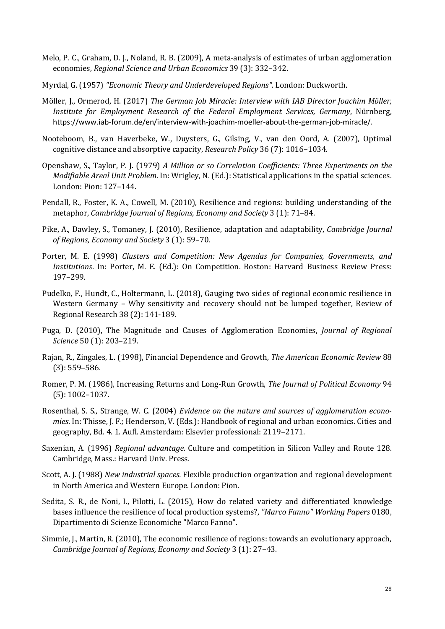- Melo, P. C., Graham, D. J., Noland, R. B. (2009), A meta-analysis of estimates of urban agglomeration economies, *Regional Science and Urban Economics* 39 (3): 332–342.
- Myrdal, G. (1957) *"Economic Theory and Underdeveloped Regions".* London: Duckworth.
- Möller, J., Ormerod, H. (2017) *The German Job Miracle: Interview with IAB Director Joachim Möller, Institute for Employment Research of the Federal Employment Services, Germany*, Nürnberg, https://www.iab-forum.de/en/interview-with-joachim-moeller-about-the-german-job-miracle/.
- Nooteboom, B., van Haverbeke, W., Duysters, G., Gilsing, V., van den Oord, A. (2007), Optimal cognitive distance and absorptive capacity, *Research Policy* 36 (7): 1016–1034.
- Openshaw, S., Taylor, P. J. (1979) *A Million or so Correlation Coefficients: Three Experiments on the Modifiable Areal Unit Problem*. In: Wrigley, N. (Ed.): Statistical applications in the spatial sciences. London: Pion: 127–144.
- Pendall, R., Foster, K. A., Cowell, M. (2010), Resilience and regions: building understanding of the metaphor, *Cambridge Journal of Regions, Economy and Society* 3 (1): 71–84.
- Pike, A., Dawley, S., Tomaney, J. (2010), Resilience, adaptation and adaptability, *Cambridge Journal of Regions, Economy and Society* 3 (1): 59–70.
- Porter, M. E. (1998) *Clusters and Competition: New Agendas for Companies, Governments, and Institutions*. In: Porter, M. E. (Ed.): On Competition. Boston: Harvard Business Review Press: 197–299.
- Pudelko, F., Hundt, C., Holtermann, L. (2018), Gauging two sides of regional economic resilience in Western Germany – Why sensitivity and recovery should not be lumped together, Review of Regional Research 38 (2): 141-189.
- Puga, D. (2010), The Magnitude and Causes of Agglomeration Economies, *Journal of Regional Science* 50 (1): 203–219.
- Rajan, R., Zingales, L. (1998), Financial Dependence and Growth, *The American Economic Review* 88 (3): 559–586.
- Romer, P. M. (1986), Increasing Returns and Long-Run Growth, *The Journal of Political Economy* 94 (5): 1002–1037.
- Rosenthal, S. S., Strange, W. C. (2004) *Evidence on the nature and sources of agglomeration economies*. In: Thisse, J. F.; Henderson, V. (Eds.): Handbook of regional and urban economics. Cities and geography, Bd. 4. 1. Aufl. Amsterdam: Elsevier professional: 2119–2171.
- Saxenian, A. (1996) *Regional advantage.* Culture and competition in Silicon Valley and Route 128. Cambridge, Mass.: Harvard Univ. Press.
- Scott, A. J. (1988) *New industrial spaces.* Flexible production organization and regional development in North America and Western Europe. London: Pion.
- Sedita, S. R., de Noni, I., Pilotti, L. (2015), How do related variety and differentiated knowledge bases influence the resilience of local production systems?, *"Marco Fanno" Working Papers* 0180, Dipartimento di Scienze Economiche "Marco Fanno".
- Simmie, J., Martin, R. (2010), The economic resilience of regions: towards an evolutionary approach, *Cambridge Journal of Regions, Economy and Society* 3 (1): 27–43.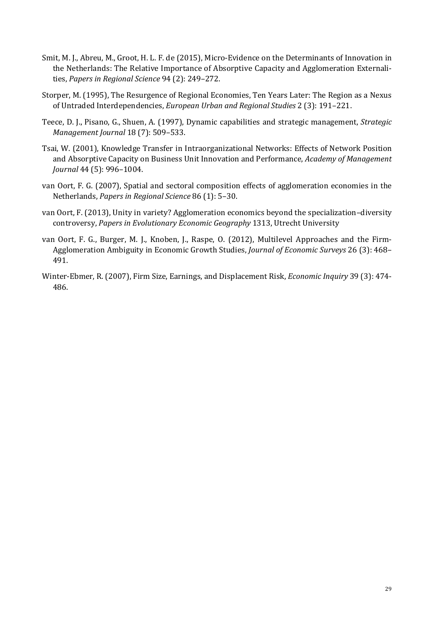- Smit, M. J., Abreu, M., Groot, H. L. F. de (2015), Micro-Evidence on the Determinants of Innovation in the Netherlands: The Relative Importance of Absorptive Capacity and Agglomeration Externalities, *Papers in Regional Science* 94 (2): 249–272.
- Storper, M. (1995), The Resurgence of Regional Economies, Ten Years Later: The Region as a Nexus of Untraded Interdependencies, *European Urban and Regional Studies* 2 (3): 191–221.
- Teece, D. J., Pisano, G., Shuen, A. (1997), Dynamic capabilities and strategic management, *Strategic Management Journal* 18 (7): 509–533.
- Tsai, W. (2001), Knowledge Transfer in Intraorganizational Networks: Effects of Network Position and Absorptive Capacity on Business Unit Innovation and Performance, *Academy of Management Journal* 44 (5): 996–1004.
- van Oort, F. G. (2007), Spatial and sectoral composition effects of agglomeration economies in the Netherlands, *Papers in Regional Science* 86 (1): 5–30.
- van Oort, F. (2013), Unity in variety? Agglomeration economics beyond the specialization–diversity controversy, *Papers in Evolutionary Economic Geography* 1313, Utrecht University
- van Oort, F. G., Burger, M. J., Knoben, J., Raspe, O. (2012), Multilevel Approaches and the Firm-Agglomeration Ambiguity in Economic Growth Studies, *Journal of Economic Surveys* 26 (3): 468– 491.
- Winter-Ebmer, R. (2007), Firm Size, Earnings, and Displacement Risk, *Economic Inquiry* 39 (3): 474- 486.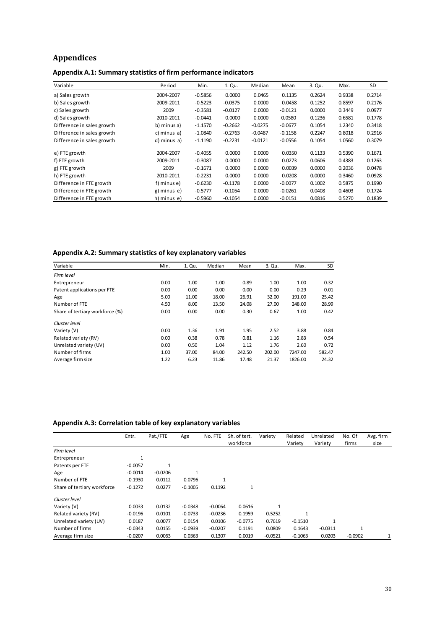## <span id="page-30-0"></span>**Appendices**

### **Appendix A.1: Summary statistics of firm performance indicators**

| Variable                   | Period      | Min.      | 1. Qu.    | Median    | Mean      | 3. Qu. | Max.   | SD     |
|----------------------------|-------------|-----------|-----------|-----------|-----------|--------|--------|--------|
| a) Sales growth            | 2004-2007   | $-0.5856$ | 0.0000    | 0.0465    | 0.1135    | 0.2624 | 0.9338 | 0.2714 |
| b) Sales growth            | 2009-2011   | $-0.5223$ | $-0.0375$ | 0.0000    | 0.0458    | 0.1252 | 0.8597 | 0.2176 |
| c) Sales growth            | 2009        | $-0.3581$ | $-0.0127$ | 0.0000    | $-0.0121$ | 0.0000 | 0.3449 | 0.0977 |
| d) Sales growth            | 2010-2011   | $-0.0441$ | 0.0000    | 0.0000    | 0.0580    | 0.1236 | 0.6581 | 0.1778 |
| Difference in sales growth | b) minus a) | $-1.1570$ | $-0.2662$ | $-0.0275$ | $-0.0677$ | 0.1054 | 1.2340 | 0.3418 |
| Difference in sales growth | c) minus a) | $-1.0840$ | $-0.2763$ | $-0.0487$ | $-0.1158$ | 0.2247 | 0.8018 | 0.2916 |
| Difference in sales growth | d) minus a) | $-1.1190$ | $-0.2231$ | $-0.0121$ | $-0.0556$ | 0.1054 | 1.0560 | 0.3079 |
| e) FTE growth              | 2004-2007   | $-0.4055$ | 0.0000    | 0.0000    | 0.0350    | 0.1133 | 0.5390 | 0.1671 |
| f) FTE growth              | 2009-2011   | $-0.3087$ | 0.0000    | 0.0000    | 0.0273    | 0.0606 | 0.4383 | 0.1263 |
| g) FTE growth              | 2009        | $-0.1671$ | 0.0000    | 0.0000    | 0.0039    | 0.0000 | 0.2036 | 0.0478 |
| h) FTE growth              | 2010-2011   | $-0.2231$ | 0.0000    | 0.0000    | 0.0208    | 0.0000 | 0.3460 | 0.0928 |
| Difference in FTE growth   | f) minus e) | $-0.6230$ | $-0.1178$ | 0.0000    | $-0.0077$ | 0.1002 | 0.5875 | 0.1990 |
| Difference in FTE growth   | g) minus e) | $-0.5777$ | $-0.1054$ | 0.0000    | $-0.0261$ | 0.0408 | 0.4603 | 0.1724 |
| Difference in FTE growth   | h) minus e) | $-0.5960$ | $-0.1054$ | 0.0000    | $-0.0151$ | 0.0816 | 0.5270 | 0.1839 |

### **Appendix A.2: Summary statistics of key explanatory variables**

| Variable                        | Min. | 1. Qu. | Median | Mean   | 3. Qu. | Max.    | SD     |
|---------------------------------|------|--------|--------|--------|--------|---------|--------|
| Firm level                      |      |        |        |        |        |         |        |
| Entrepreneur                    | 0.00 | 1.00   | 1.00   | 0.89   | 1.00   | 1.00    | 0.32   |
| Patent applications per FTE     | 0.00 | 0.00   | 0.00   | 0.00   | 0.00   | 0.29    | 0.01   |
| Age                             | 5.00 | 11.00  | 18.00  | 26.91  | 32.00  | 191.00  | 25.42  |
| Number of FTE                   | 4.50 | 8.00   | 13.50  | 24.08  | 27.00  | 248.00  | 28.99  |
| Share of tertiary workforce (%) | 0.00 | 0.00   | 0.00   | 0.30   | 0.67   | 1.00    | 0.42   |
| Cluster level                   |      |        |        |        |        |         |        |
| Variety (V)                     | 0.00 | 1.36   | 1.91   | 1.95   | 2.52   | 3.88    | 0.84   |
| Related variety (RV)            | 0.00 | 0.38   | 0.78   | 0.81   | 1.16   | 2.83    | 0.54   |
| Unrelated variety (UV)          | 0.00 | 0.50   | 1.04   | 1.12   | 1.76   | 2.60    | 0.72   |
| Number of firms                 | 1.00 | 37.00  | 84.00  | 242.50 | 202.00 | 7247.00 | 582.47 |
| Average firm size               | 1.22 | 6.23   | 11.86  | 17.48  | 21.37  | 1826.00 | 24.32  |

### **Appendix A.3: Correlation table of key explanatory variables**

|                             | Entr.     | Pat./FTE     | Age          | No. FTE      | Sh. of tert. | Variety   | Related   | Unrelated | No. Of    | Avg. firm |
|-----------------------------|-----------|--------------|--------------|--------------|--------------|-----------|-----------|-----------|-----------|-----------|
|                             |           |              |              |              | workforce    |           | Variety   | Variety   | firms     | size      |
| Firm level                  |           |              |              |              |              |           |           |           |           |           |
| Entrepreneur                |           |              |              |              |              |           |           |           |           |           |
| Patents per FTE             | $-0.0057$ | $\mathbf{1}$ |              |              |              |           |           |           |           |           |
| Age                         | $-0.0014$ | $-0.0206$    | $\mathbf{1}$ |              |              |           |           |           |           |           |
| Number of FTE               | $-0.1930$ | 0.0112       | 0.0796       | $\mathbf{1}$ |              |           |           |           |           |           |
| Share of tertiary workforce | $-0.1272$ | 0.0277       | $-0.1005$    | 0.1192       | 1            |           |           |           |           |           |
| Cluster level               |           |              |              |              |              |           |           |           |           |           |
| Variety (V)                 | 0.0033    | 0.0132       | $-0.0348$    | $-0.0064$    | 0.0616       | 1         |           |           |           |           |
| Related variety (RV)        | $-0.0196$ | 0.0101       | $-0.0733$    | $-0.0236$    | 0.1959       | 0.5252    |           |           |           |           |
| Unrelated variety (UV)      | 0.0187    | 0.0077       | 0.0154       | 0.0106       | $-0.0775$    | 0.7619    | $-0.1510$ |           |           |           |
| Number of firms             | $-0.0343$ | 0.0155       | $-0.0939$    | $-0.0207$    | 0.1191       | 0.0809    | 0.1643    | $-0.0311$ |           |           |
| Average firm size           | $-0.0207$ | 0.0063       | 0.0363       | 0.1307       | 0.0019       | $-0.0521$ | $-0.1063$ | 0.0203    | $-0.0902$ |           |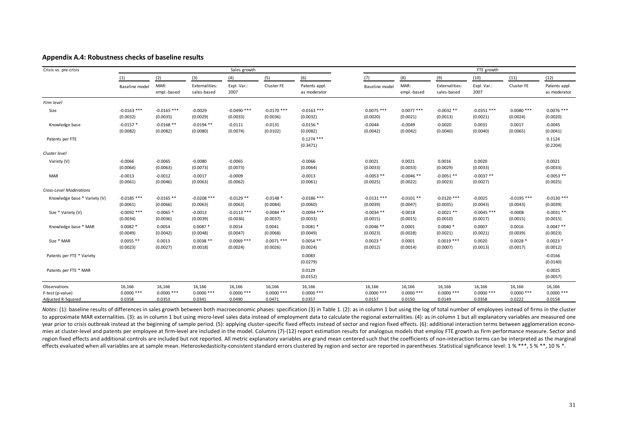#### **Appendix A.4: Robustness checks of baseline results**

| Crisis vs. pre-crisis                  |                           |                           |                               | Sales growth              |                           |                               |                           |                          |                               | FTE growth                |                           |                               |
|----------------------------------------|---------------------------|---------------------------|-------------------------------|---------------------------|---------------------------|-------------------------------|---------------------------|--------------------------|-------------------------------|---------------------------|---------------------------|-------------------------------|
|                                        | (1)                       | (2)                       | (3)                           | (4)                       | (5)                       | (6)                           | (7)                       | (8)                      | (9)                           | (10)                      | (11)                      | (12)                          |
|                                        | Baseline model            | MAR:<br>empl.-based       | Externalities:<br>sales-based | Expl. Var.:<br>2007       | Cluster FE                | Patents appl.<br>as moderator | Baseline model            | MAR:<br>empl.-based      | Externalities:<br>sales-based | Expl. Var.:<br>2007       | Cluster FE                | Patents appl.<br>as moderator |
| Firm level                             |                           |                           |                               |                           |                           |                               |                           |                          |                               |                           |                           |                               |
| Size                                   | $-0.0163$ ***<br>(0.0032) | $-0.0165$ ***<br>(0.0035) | $-0.0029$<br>(0.0029)         | $-0.0490$ ***<br>(0.0033) | $-0.0170$ ***<br>(0.0036) | $-0.0163$ ***<br>(0.0032)     | $0.0075$ ***<br>(0.0020)  | $0.0077$ ***<br>(0.0021) | $-0.0032**$<br>(0.0013)       | $-0.0351$ ***<br>(0.0021) | $0.0080$ ***<br>(0.0024)  | $0.0076$ ***<br>(0.0020)      |
| Knowledge base                         | $-0.0157$ *<br>(0.0082)   | $-0.0168$ **<br>(0.0082)  | $-0.0194$ **<br>(0.0080)      | $-0.0111$<br>(0.0074)     | $-0.0131$<br>(0.0102)     | $-0.0156*$<br>(0.0082)        | $-0.0044$<br>(0.0042)     | $-0.0049$<br>(0.0042)    | $-0.0020$<br>(0.0040)         | 0.0031<br>(0.0040)        | 0.0017<br>(0.0065)        | $-0.0045$<br>(0.0041)         |
| Patents per FTE                        |                           |                           |                               |                           |                           | $0.1274$ ***<br>(0.3471)      |                           |                          |                               |                           |                           | 0.1124<br>(0.2204)            |
| Cluster level                          |                           |                           |                               |                           |                           |                               |                           |                          |                               |                           |                           |                               |
| Variety (V)                            | $-0.0066$<br>(0.0064)     | $-0.0065$<br>(0.0063)     | $-0.0080$<br>(0.0073)         | $-0.0065$<br>(0.0073)     |                           | $-0.0066$<br>(0.0064)         | 0.0021<br>(0.0033)        | 0.0021<br>(0.0033)       | 0.0016<br>(0.0029)            | 0.0020<br>(0.0033)        |                           | 0.0021<br>(0.0033)            |
| <b>MAR</b>                             | $-0.0013$<br>(0.0061)     | $-0.0012$<br>(0.0046)     | $-0.0017$<br>(0.0063)         | $-0.0009$<br>(0.0062)     |                           | $-0.0013$<br>(0.0061)         | $-0.0053$ **<br>(0.0025)  | $-0.0046$ **<br>(0.0022) | $-0.0051**$<br>(0.0023)       | $-0.0037$ **<br>(0.0027)  |                           | $-0.0053$ **<br>(0.0025)      |
| <b>Cross-Level Moderations</b>         |                           |                           |                               |                           |                           |                               |                           |                          |                               |                           |                           |                               |
| Knowledge base * Variety (V)           | $-0.0185$ ***<br>(0.0061) | $-0.0165$ **<br>(0.0066)  | $-0.0208$ ***<br>(0.0063)     | $-0.0129$ **<br>(0.0063)  | $-0.0148*$<br>(0.0084)    | $-0.0186$ ***<br>(0.0060)     | $-0.0131$ ***<br>(0.0039) | $-0.0101**$<br>(0.0047)  | $-0.0120$ ***<br>(0.0035)     | $-0.0025$<br>(0.0043)     | $-0.0195$ ***<br>(0.0043) | $-0.0130$ ***<br>(0.0039)     |
| Size * Variety (V)                     | $-0.0092$ ***<br>(0.0034) | $-0.0065$ *<br>(0.0036)   | $-0.0013$<br>(0.0039)         | $-0.0113$ ***<br>(0.0036) | $-0.0084$ **<br>(0.0037)  | $-0.0094$ ***<br>(0.0033)     | $-0.0034$ **<br>(0.0015)  | $-0.0018$<br>(0.0015)    | $-0.0021$ **<br>(0.0010)      | $-0.0045$ ***<br>(0.0017) | $-0.0008$<br>(0.0015)     | $-0.0031**$<br>(0.0015)       |
| Knowledge base * MAR                   | $0.0082*$<br>(0.0049)     | 0.0054<br>(0.0042)        | $0.0087*$<br>(0.0048)         | 0.0014<br>(0.0047)        | 0.0041<br>(0.0068)        | $0.0081*$<br>(0.0049)         | $0.0046**$<br>(0.0023)    | 0.0001<br>(0.0028)       | $0.0040*$<br>(0.0021)         | 0.0007<br>(0.0021)        | 0.0016<br>(0.0039)        | $0.0047**$<br>(0.0023)        |
| Size * MAR                             | $0.0055$ **<br>(0.0023)   | 0.0013<br>(0.0027)        | $0.0038**$<br>(0.0018)        | $0.0069$ ***<br>(0.0024)  | $0.0071$ ***<br>(0.0026)  | $0.0054$ **<br>(0.0024)       | $0.0023*$<br>(0.0012)     | 0.0001<br>(0.0014)       | $0.0019$ ***<br>(0.0007)      | 0.0020<br>(0.0013)        | $0.0028*$<br>(0.0017)     | $0.0023*$<br>(0.0012)         |
| Patents per FTE * Variety              |                           |                           |                               |                           |                           | 0.0083<br>(0.0279)            |                           |                          |                               |                           |                           | $-0.0166$<br>(0.0140)         |
| Patents per FTE * MAR                  |                           |                           |                               |                           |                           | 0.0129<br>(0.0152)            |                           |                          |                               |                           |                           | $-0.0025$<br>(0.0057)         |
| Observations                           | 16,166                    | 16,166                    | 16,166                        | 16,166                    | 16,166                    | 16,166                        | 16,166                    | 16,166                   | 16,166                        | 16,166                    | 16,166                    | 16,166                        |
| F-test (p-value)<br>Adjusted R-Squared | $0.0000$ ***<br>0.0358    | $0.0000$ ***<br>0.0353    | $0.0000$ ***<br>0.0341        | $0.0000$ ***<br>0.0490    | $0.0000$ ***<br>0.0471    | $0.0000$ ***<br>0.0357        | $0.0000$ ***<br>0.0157    | $0.0000$ ***<br>0.0150   | $0.0000$ ***<br>0.0149        | $0.0000$ ***<br>0.0358    | $0.0000$ ***<br>0.0222    | $0.0000$ ***<br>0.0158        |

Notes: (1): baseline results of differences in sales growth between both macroeconomic phases: specification (3) in Table 1. (2): as in column 1 but using the log of total number of employees instead of firms in the cluste to approximate MAR externalities. (3): as in column 1 but using micro-level sales data instead of employment data to calculate the regional externalities. (4): as in column 1 but all explanatory variables are measured one year prior to crisis outbreak instead at the beginning of sample period. (5): applying cluster-specific fixed effects instead of sector and region fixed effects. (6): additional interaction terms between agglomeration econ mies at cluster-level and patents per employee at firm-level are included in the model. Columns (7)-(12) report estimation results for analogous models that employ FTE growth as firm performance measure. Sector and region fixed effects and additional controls are included but not reported. All metric explanatory variables are grand mean centered such that the coefficients of non-interaction terms can be interpreted as the marginal effects evaluated when all variables are at sample mean. Heteroskedasticity-consistent standard errors clustered by region and sector are reported in parentheses. Statistical significance level: 1 % \*\*\*, 5 % \*\*, 10 % \*.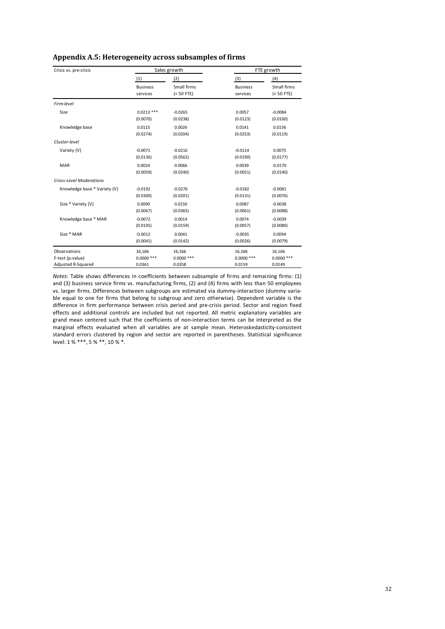| Crisis vs. pre-crisis          |                 | Sales growth         | FTE growth      |                      |  |
|--------------------------------|-----------------|----------------------|-----------------|----------------------|--|
|                                | (1)             | (2)                  | (3)             | (4)                  |  |
|                                | <b>Business</b> | Small firms          | <b>Business</b> | Small firms          |  |
|                                | services        | ( <sub>50</sub> FTE) | services        | ( <sub>50</sub> FTE) |  |
| Firm-level                     |                 |                      |                 |                      |  |
| Size                           | $0.0213$ ***    | $-0.0265$            | 0.0057          | $-0.0084$            |  |
|                                | (0.0070)        | (0.0238)             | (0.0123)        | (0.0100)             |  |
| Knowledge base                 | 0.0115          | 0.0026               | 0.0141          | 0.0156               |  |
|                                | (0.0274)        | (0.0204)             | (0.0253)        | (0.0119)             |  |
| Cluster-level                  |                 |                      |                 |                      |  |
| Variety (V)                    | $-0.0071$       | $-0.0216$            | $-0.0114$       | 0.0075               |  |
|                                | (0.0136)        | (0.0562)             | (0.0190)        | (0.0177)             |  |
| MAR                            | 0.0024          | 0.0066               | 0.0039          | $-0.0170$            |  |
|                                | (0.0059)        | (0.0240)             | (0.0051)        | (0.0140)             |  |
| <b>Cross-Level Moderations</b> |                 |                      |                 |                      |  |
| Knowledge base * Variety (V)   | $-0.0192$       | $-0.0276$            | $-0.0182$       | $-0.0081$            |  |
|                                | (0.0300)        | (0.0201)             | (0.0131)        | (0.0076)             |  |
| Size * Variety (V)             | 0.0090          | 0.0150               | 0.0087          | $-0.0038$            |  |
|                                | (0.0067)        | (0.0365)             | (0.0061)        | (0.0088)             |  |
| Knowledge base * MAR           | $-0.0072$       | 0.0014               | 0.0074          | $-0.0039$            |  |
|                                | (0.0105)        | (0.0159)             | (0.0057)        | (0.0080)             |  |
| Size * MAR                     | $-0.0012$       | 0.0041               | $-0.0035$       | 0.0094               |  |
|                                | (0.0041)        | (0.0142)             | (0.0026)        | (0.0079)             |  |
| Observations                   | 16,166          | 16,166               | 16,166          | 16,166               |  |
| F-test (p-value)               | $0.0000$ ***    | $0.0000$ ***         | $0.0000$ ***    | $0.0000$ ***         |  |
| Adjusted R-Squared             | 0.0361          | 0.0358               | 0.0159          | 0.0149               |  |

#### **Appendix A.5: Heterogeneity across subsamples of firms**

*Notes*: Table shows differences in coefficients between subsample of firms and remaining firms: (1) and (3) business service firms vs. manufacturing firms, (2) and (4) firms with less than 50 employees vs. larger firms. Differences between subgroups are estimated via dummy-interaction (dummy variable equal to one for firms that belong to subgroup and zero otherwise). Dependent variable is the difference in firm performance between crisis period and pre-crisis period. Sector and region fixed effects and additional controls are included but not reported. All metric explanatory variables are grand mean centered such that the coefficients of non-interaction terms can be interpreted as the marginal effects evaluated when all variables are at sample mean. Heteroskedasticity-consistent standard errors clustered by region and sector are reported in parentheses. Statistical significance level: 1 % \*\*\*, 5 % \*\*, 10 % \*.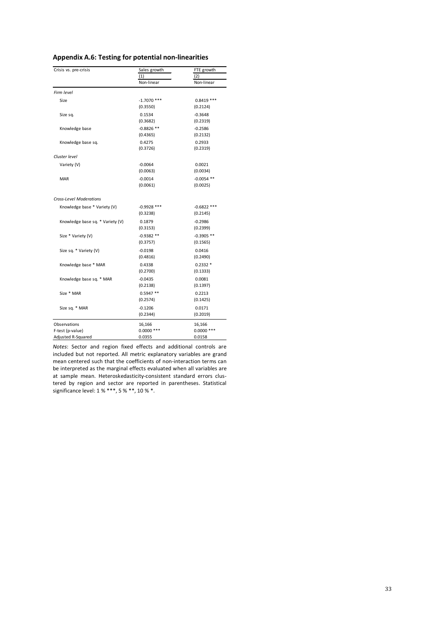|  |  |  | <b>Appendix A.6: Testing for potential non-linearities</b> |
|--|--|--|------------------------------------------------------------|
|--|--|--|------------------------------------------------------------|

| Crisis vs. pre-crisis            | Sales growth  | FTE growth<br>(2) |  |
|----------------------------------|---------------|-------------------|--|
|                                  | (1)           |                   |  |
|                                  | Non-linear    | Non-linear        |  |
| Firm level                       |               |                   |  |
| Size                             | $-1.7070$ *** | $0.8419$ ***      |  |
|                                  | (0.3550)      | (0.2124)          |  |
| Size sq.                         | 0.1534        | $-0.3648$         |  |
|                                  | (0.3682)      | (0.2319)          |  |
| Knowledge base                   | $-0.8826$ **  | $-0.2586$         |  |
|                                  | (0.4365)      | (0.2132)          |  |
| Knowledge base sq.               | 0.4275        | 0.2933            |  |
|                                  | (0.3726)      | (0.2319)          |  |
| Cluster level                    |               |                   |  |
| Variety (V)                      | $-0.0064$     | 0.0021            |  |
|                                  | (0.0063)      | (0.0034)          |  |
| <b>MAR</b>                       | $-0.0014$     | $-0.0054$ **      |  |
|                                  | (0.0061)      | (0.0025)          |  |
| Cross-Level Moderations          |               |                   |  |
| Knowledge base * Variety (V)     | $-0.9928$ *** | $-0.6822$ ***     |  |
|                                  | (0.3238)      | (0.2145)          |  |
| Knowledge base sq. * Variety (V) | 0.1879        | $-0.2986$         |  |
|                                  | (0.3153)      | (0.2399)          |  |
| Size * Variety (V)               | $-0.9382**$   | $-0.3905$ **      |  |
|                                  | (0.3757)      | (0.1565)          |  |
| Size sq. * Variety (V)           | $-0.0198$     | 0.0416            |  |
|                                  | (0.4816)      | (0.2490)          |  |
| Knowledge base * MAR             | 0.4338        | $0.2332*$         |  |
|                                  | (0.2700)      | (0.1333)          |  |
| Knowledge base sq. * MAR         | $-0.0435$     | 0.0081            |  |
|                                  | (0.2138)      | (0.1397)          |  |
| Size * MAR                       | $0.5947**$    | 0.2213            |  |
|                                  | (0.2574)      | (0.1425)          |  |
| Size sq. * MAR                   | $-0.1206$     | 0.0171            |  |
|                                  | (0.2344)      | (0.2019)          |  |
| Observations                     | 16,166        | 16,166            |  |
| F-test (p-value)                 | $0.0000$ ***  | $0.0000$ ***      |  |
| Adjusted R-Squared               | 0.0355        | 0.0158            |  |

*Notes*: Sector and region fixed effects and additional controls are included but not reported. All metric explanatory variables are grand mean centered such that the coefficients of non-interaction terms can be interpreted as the marginal effects evaluated when all variables are at sample mean. Heteroskedasticity-consistent standard errors clustered by region and sector are reported in parentheses. Statistical significance level: 1 % \*\*\*, 5 % \*\*, 10 % \*.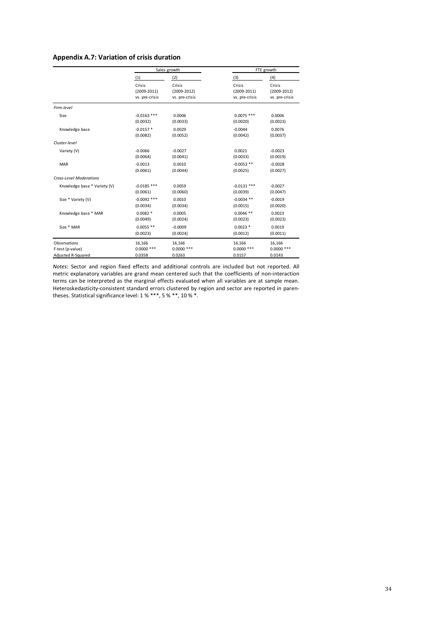#### **Appendix A.7: Variation of crisis duration**

|                                | Sales growth                                       |                                                    | FTE growth                                         |                                                    |
|--------------------------------|----------------------------------------------------|----------------------------------------------------|----------------------------------------------------|----------------------------------------------------|
|                                | (1)<br>Crisis<br>$(2009 - 2011)$<br>vs. pre-crisis | (2)<br>Crisis<br>$(2009 - 2012)$<br>vs. pre-crisis | (3)<br>Crisis<br>$(2009 - 2011)$<br>vs. pre-crisis | (4)<br>Crisis<br>$(2009 - 2012)$<br>vs. pre-crisis |
|                                |                                                    |                                                    |                                                    |                                                    |
| Firm-level                     |                                                    |                                                    |                                                    |                                                    |
| Size                           | $-0.0163$ ***                                      | 0.0006                                             | $0.0075$ ***                                       | 0.0006                                             |
|                                | (0.0032)                                           | (0.0033)                                           | (0.0020)                                           | (0.0023)                                           |
| Knowledge base                 | $-0.0157$ *                                        | 0.0029                                             | $-0.0044$                                          | 0.0076                                             |
|                                | (0.0082)                                           | (0.0052)                                           | (0.0042)                                           | (0.0037)                                           |
| Cluster-level                  |                                                    |                                                    |                                                    |                                                    |
| Variety (V)                    | $-0.0066$                                          | $-0.0027$                                          | 0.0021                                             | $-0.0023$                                          |
|                                | (0.0064)                                           | (0.0041)                                           | (0.0033)                                           | (0.0019)                                           |
| <b>MAR</b>                     | $-0.0013$                                          | 0.0010                                             | $-0.0053$ **                                       | $-0.0028$                                          |
|                                | (0.0061)                                           | (0.0044)                                           | (0.0025)                                           | (0.0027)                                           |
| <b>Cross-Level Moderations</b> |                                                    |                                                    |                                                    |                                                    |
| Knowledge base * Variety (V)   | $-0.0185$ ***                                      | 0.0059                                             | $-0.0131$ ***                                      | $-0.0027$                                          |
|                                | (0.0061)                                           | (0.0060)                                           | (0.0039)                                           | (0.0047)                                           |
| Size * Variety (V)             | $-0.0092$ ***                                      | 0.0010                                             | $-0.0034$ **                                       | $-0.0019$                                          |
|                                | (0.0034)                                           | (0.0034)                                           | (0.0015)                                           | (0.0020)                                           |
| Knowledge base * MAR           | $0.0082*$                                          | 0.0005                                             | $0.0046**$                                         | 0.0023                                             |
|                                | (0.0049)                                           | (0.0024)                                           | (0.0023)                                           | (0.0023)                                           |
| Size * MAR                     | $0.0055$ **                                        | $-0.0009$                                          | $0.0023*$                                          | 0.0019                                             |
|                                | (0.0023)                                           | (0.0024)                                           | (0.0012)                                           | (0.0011)                                           |
| Observations                   | 16,166                                             | 16,166                                             | 16,166                                             | 16,166                                             |
| F-test (p-value)               | $0.0000$ ***                                       | $0.0000$ ***                                       | $0.0000$ ***                                       | $0.0000$ ***                                       |
| Adjusted R-Squared             | 0.0358                                             | 0.0263                                             | 0.0157                                             | 0.0143                                             |

*Notes*: Sector and region fixed effects and additional controls are included but not reported. All metric explanatory variables are grand mean centered such that the coefficients of non-interaction terms can be interpreted as the marginal effects evaluated when all variables are at sample mean. Heteroskedasticity-consistent standard errors clustered by region and sector are reported in parentheses. Statistical significance level: 1 % \*\*\*, 5 % \*\*, 10 % \*.